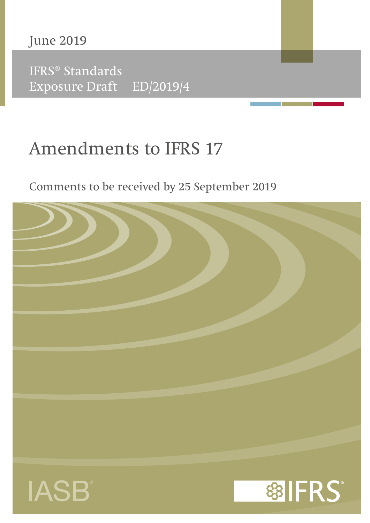June 2019

IFRS® Standards Exposure Draft ED/2019/4

# Amendments to IFRS 17

## Comments to be received by 25 September 2019

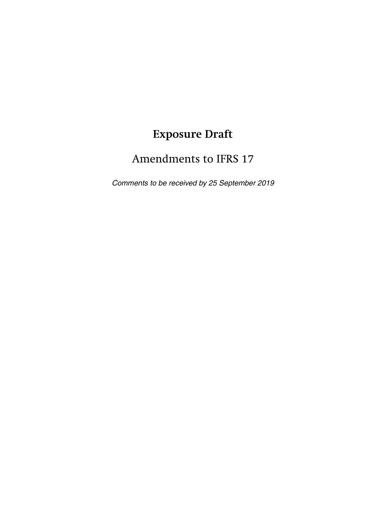# **Exposure Draft**

## Amendments to IFRS 17

Comments to be received by 25 September 2019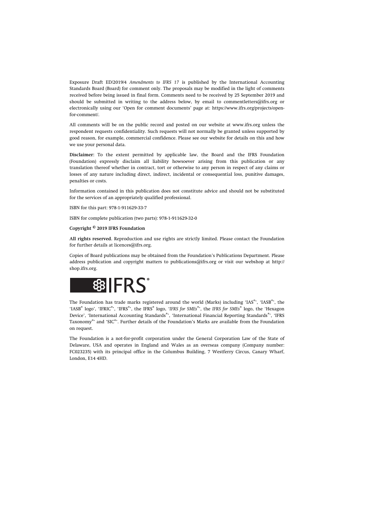Exposure Draft ED/2019/4 *Amendments to IFRS 17* is published by the International Accounting Standards Board (Board) for comment only. The proposals may be modified in the light of comments received before being issued in final form. Comments need to be received by 25 September 2019 and should be submitted in writing to the address below, by email to [commentletters@ifrs.org](mailto:commentletters@ifrs.org) or electronically using our 'Open for comment documents' page at: [https://www.ifrs.org/projects/open](https://www.ifrs.org/projects/open-for-comment/)[for-comment/](https://www.ifrs.org/projects/open-for-comment/).

All comments will be on the public record and posted on our website at [www.ifrs.org](http://www.ifrs.org) unless the respondent requests confidentiality. Such requests will not normally be granted unless supported by good reason, for example, commercial confidence. Please see our website for details on this and how we use your personal data.

**Disclaimer:** To the extent permitted by applicable law, the Board and the IFRS Foundation (Foundation) expressly disclaim all liability howsoever arising from this publication or any translation thereof whether in contract, tort or otherwise to any person in respect of any claims or losses of any nature including direct, indirect, incidental or consequential loss, punitive damages, penalties or costs.

Information contained in this publication does not constitute advice and should not be substituted for the services of an appropriately qualified professional.

ISBN for this part: 978-1-911629-33-7

ISBN for complete publication (two parts): 978-1-911629-32-0

#### **Copyright © 2019 IFRS Foundation**

**All rights reserved.** Reproduction and use rights are strictly limited. Please contact the Foundation for further details at [licences@ifrs.org](mailto:licences@ifrs.org).

Copies of Board publications may be obtained from the Foundation's Publications Department. Please address publication and copyright matters to [publications@ifrs.org](mailto:publications@ifrs.org) or visit our webshop at [http://](http://shop.ifrs.org) [shop.ifrs.org.](http://shop.ifrs.org)



The Foundation has trade marks registered around the world (Marks) including 'IAS®', 'IASB®', the 'IASB<sup>®</sup> logo', 'IFRIC<sup>®</sup>', 'IFRS<sup>®</sup>', the IFRS<sup>®</sup> logo, 'IFRS for SMEs<sup>®</sup>', the *IFRS* for SMEs<sup>®</sup> logo, the 'Hexagon Device', 'International Accounting Standards®', 'International Financial Reporting Standards®', 'IFRS Taxonomy®' and 'SIC®'. Further details of the Foundation's Marks are available from the Foundation on request.

The Foundation is a not-for-profit corporation under the General Corporation Law of the State of Delaware, USA and operates in England and Wales as an overseas company (Company number: FC023235) with its principal office in the Columbus Building, 7 Westferry Circus, Canary Wharf, London, E14 4HD.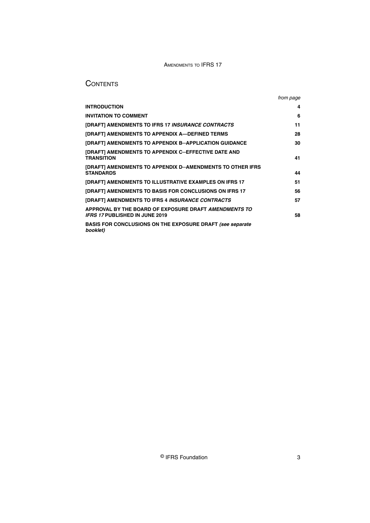## **CONTENTS**

|                                                                                                | from page |
|------------------------------------------------------------------------------------------------|-----------|
| <b>INTRODUCTION</b>                                                                            | 4         |
| <b>INVITATION TO COMMENT</b>                                                                   | 6         |
| [DRAFT] AMENDMENTS TO IFRS 17 INSURANCE CONTRACTS                                              | 11        |
| [DRAFT] AMENDMENTS TO APPENDIX A-DEFINED TERMS                                                 | 28        |
| [DRAFT] AMENDMENTS TO APPENDIX B-APPLICATION GUIDANCE                                          | 30        |
| [DRAFT] AMENDMENTS TO APPENDIX C-EFFECTIVE DATE AND<br><b>TRANSITION</b>                       | 41        |
| [DRAFT] AMENDMENTS TO APPENDIX D-AMENDMENTS TO OTHER IFRS<br><b>STANDARDS</b>                  | 44        |
| <b>[DRAFT] AMENDMENTS TO ILLUSTRATIVE EXAMPLES ON IFRS 17</b>                                  | 51        |
| [DRAFT] AMENDMENTS TO BASIS FOR CONCLUSIONS ON IFRS 17                                         | 56        |
| [DRAFT] AMENDMENTS TO IFRS 4 INSURANCE CONTRACTS                                               | 57        |
| APPROVAL BY THE BOARD OF EXPOSURE DRAFT AMENDMENTS TO<br><b>IFRS 17 PUBLISHED IN JUNE 2019</b> | 58        |
| <b>BASIS FOR CONCLUSIONS ON THE EXPOSURE DRAFT (see separate</b><br>booklet)                   |           |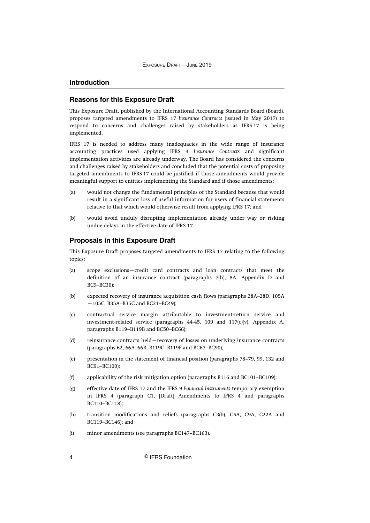## <span id="page-4-0"></span>**Introduction**

## **Reasons for this Exposure Draft**

This Exposure Draft, published by the International Accounting Standards Board (Board), proposes targeted amendments to IFRS 17 *Insurance Contracts* (issued in May 2017) to respond to concerns and challenges raised by stakeholders as IFRS 17 is being implemented.

IFRS 17 is needed to address many inadequacies in the wide range of insurance accounting practices used applying IFRS 4 *Insurance Contracts* and significant implementation activities are already underway. The Board has considered the concerns and challenges raised by stakeholders and concluded that the potential costs of proposing targeted amendments to IFRS 17 could be justified if those amendments would provide meaningful support to entities implementing the Standard and if those amendments:

- (a) would not change the fundamental principles of the Standard because that would result in a significant loss of useful information for users of financial statements relative to that which would otherwise result from applying IFRS 17; and
- (b) would avoid unduly disrupting implementation already under way or risking undue delays in the effective date of IFRS 17.

#### **Proposals in this Exposure Draft**

This Exposure Draft proposes targeted amendments to IFRS 17 relating to the following topics:

- (a) scope exclusions—credit card contracts and loan contracts that meet the definition of an insurance contract (paragraphs 7(h), 8A, Appendix D and BC9–BC30);
- (b) expected recovery of insurance acquisition cash flows (paragraphs 28A–28D, 105A —105C, B35A−B35C and BC31–BC49);
- (c) contractual service margin attributable to investment-return service and investment-related service (paragraphs 44-45, 109 and 117(c)(v), Appendix A, paragraphs B119−B119B and BC50–BC66);
- (d) reinsurance contracts held—recovery of losses on underlying insurance contracts (paragraphs 62, 66A‒66B, B119C−B119F and BC67–BC90);
- (e) presentation in the statement of financial position (paragraphs 78−79, 99, 132 and BC91–BC100);
- (f) applicability of the risk mitigation option (paragraphs B116 and BC101−BC109);
- (g) effective date of IFRS 17 and the IFRS 9 *Financial Instruments* temporary exemption in IFRS 4 (paragraph C1, [Draft] Amendments to IFRS 4 and paragraphs BC110–BC118);
- (h) transition modifications and reliefs (paragraphs C3(b), C5A, C9A, C22A and BC119–BC146); and
- (i) minor amendments (see paragraphs BC147−BC163).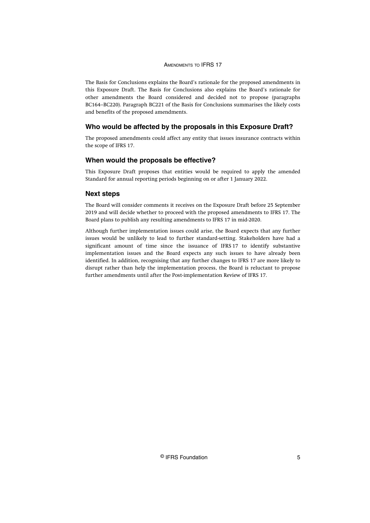The Basis for Conclusions explains the Board's rationale for the proposed amendments in this Exposure Draft. The Basis for Conclusions also explains the Board's rationale for other amendments the Board considered and decided not to propose (paragraphs BC164–BC220). Paragraph BC221 of the Basis for Conclusions summarises the likely costs and benefits of the proposed amendments.

## **Who would be affected by the proposals in this Exposure Draft?**

The proposed amendments could affect any entity that issues insurance contracts within the scope of IFRS 17.

## **When would the proposals be effective?**

This Exposure Draft proposes that entities would be required to apply the amended Standard for annual reporting periods beginning on or after 1 January 2022.

### **Next steps**

The Board will consider comments it receives on the Exposure Draft before 25 September 2019 and will decide whether to proceed with the proposed amendments to IFRS 17. The Board plans to publish any resulting amendments to IFRS 17 in mid-2020.

Although further implementation issues could arise, the Board expects that any further issues would be unlikely to lead to further standard-setting. Stakeholders have had a significant amount of time since the issuance of IFRS 17 to identify substantive implementation issues and the Board expects any such issues to have already been identified. In addition, recognising that any further changes to IFRS 17 are more likely to disrupt rather than help the implementation process, the Board is reluctant to propose further amendments until after the Post-implementation Review of IFRS 17.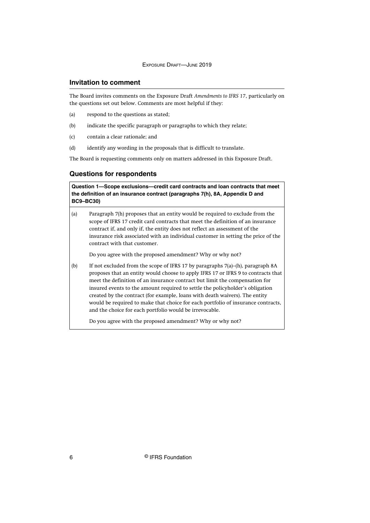## <span id="page-6-0"></span>**Invitation to comment**

The Board invites comments on the Exposure Draft *Amendments to IFRS 17*, particularly on the questions set out below. Comments are most helpful if they:

- (a) respond to the questions as stated;
- (b) indicate the specific paragraph or paragraphs to which they relate;
- (c) contain a clear rationale; and
- (d) identify any wording in the proposals that is difficult to translate.

The Board is requesting comments only on matters addressed in this Exposure Draft.

## **Questions for respondents**

**Question 1—Scope exclusions—credit card contracts and loan contracts that meet the definition of an insurance contract (paragraphs 7(h), 8A, Appendix D and BC9–BC30)**

(a) Paragraph 7(h) proposes that an entity would be required to exclude from the scope of IFRS 17 credit card contracts that meet the definition of an insurance contract if, and only if, the entity does not reflect an assessment of the insurance risk associated with an individual customer in setting the price of the contract with that customer.

Do you agree with the proposed amendment? Why or why not?

(b) If not excluded from the scope of IFRS 17 by paragraphs 7(a)–(h), paragraph 8A proposes that an entity would choose to apply IFRS 17 or IFRS 9 to contracts that meet the definition of an insurance contract but limit the compensation for insured events to the amount required to settle the policyholder's obligation created by the contract (for example, loans with death waivers). The entity would be required to make that choice for each portfolio of insurance contracts, and the choice for each portfolio would be irrevocable.

Do you agree with the proposed amendment? Why or why not?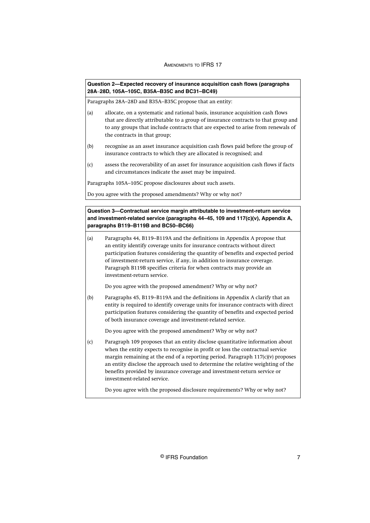| Question 2-Expected recovery of insurance acquisition cash flows (paragraphs | 28A-28D, 105A-105C, B35A-B35C and BC31-BC49)                                                                                                                                                                                                                                                                                                                                                                                                     |
|------------------------------------------------------------------------------|--------------------------------------------------------------------------------------------------------------------------------------------------------------------------------------------------------------------------------------------------------------------------------------------------------------------------------------------------------------------------------------------------------------------------------------------------|
|                                                                              | Paragraphs 28A-28D and B35A-B35C propose that an entity:                                                                                                                                                                                                                                                                                                                                                                                         |
| (a)                                                                          | allocate, on a systematic and rational basis, insurance acquisition cash flows<br>that are directly attributable to a group of insurance contracts to that group and<br>to any groups that include contracts that are expected to arise from renewals of<br>the contracts in that group;                                                                                                                                                         |
| (b)                                                                          | recognise as an asset insurance acquisition cash flows paid before the group of<br>insurance contracts to which they are allocated is recognised; and                                                                                                                                                                                                                                                                                            |
| (c)                                                                          | assess the recoverability of an asset for insurance acquisition cash flows if facts<br>and circumstances indicate the asset may be impaired.                                                                                                                                                                                                                                                                                                     |
|                                                                              | Paragraphs 105A-105C propose disclosures about such assets.                                                                                                                                                                                                                                                                                                                                                                                      |
|                                                                              | Do you agree with the proposed amendments? Why or why not?                                                                                                                                                                                                                                                                                                                                                                                       |
|                                                                              |                                                                                                                                                                                                                                                                                                                                                                                                                                                  |
|                                                                              | Question 3-Contractual service margin attributable to investment-return service<br>and investment-related service (paragraphs 44-45, 109 and 117(c)(v), Appendix A,                                                                                                                                                                                                                                                                              |
| (a)                                                                          | paragraphs B119-B119B and BC50-BC66)<br>Paragraphs 44, B119-B119A and the definitions in Appendix A propose that<br>an entity identify coverage units for insurance contracts without direct                                                                                                                                                                                                                                                     |
|                                                                              | participation features considering the quantity of benefits and expected period<br>of investment-return service, if any, in addition to insurance coverage.<br>Paragraph B119B specifies criteria for when contracts may provide an<br>investment-return service.                                                                                                                                                                                |
|                                                                              | Do you agree with the proposed amendment? Why or why not?                                                                                                                                                                                                                                                                                                                                                                                        |
| (b)                                                                          | Paragraphs 45, B119-B119A and the definitions in Appendix A clarify that an<br>entity is required to identify coverage units for insurance contracts with direct<br>participation features considering the quantity of benefits and expected period<br>of both insurance coverage and investment-related service.                                                                                                                                |
|                                                                              | Do you agree with the proposed amendment? Why or why not?                                                                                                                                                                                                                                                                                                                                                                                        |
| (c)                                                                          | Paragraph 109 proposes that an entity disclose quantitative information about<br>when the entity expects to recognise in profit or loss the contractual service<br>margin remaining at the end of a reporting period. Paragraph 117(c)(v) proposes<br>an entity disclose the approach used to determine the relative weighting of the<br>benefits provided by insurance coverage and investment-return service or<br>investment-related service. |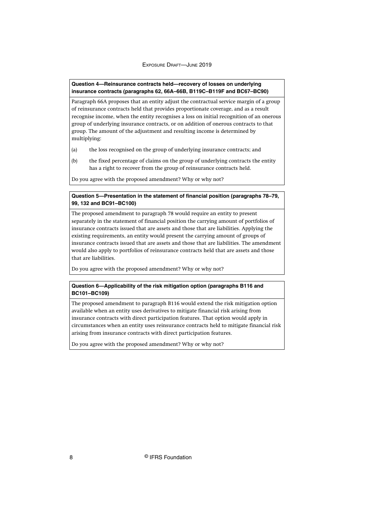#### **Question 4—Reinsurance contracts held—recovery of losses on underlying insurance contracts (paragraphs 62, 66A–66B, B119C–B119F and BC67–BC90)**

Paragraph 66A proposes that an entity adjust the contractual service margin of a group of reinsurance contracts held that provides proportionate coverage, and as a result recognise income, when the entity recognises a loss on initial recognition of an onerous group of underlying insurance contracts, or on addition of onerous contracts to that group. The amount of the adjustment and resulting income is determined by multiplying:

- (a) the loss recognised on the group of underlying insurance contracts; and
- (b) the fixed percentage of claims on the group of underlying contracts the entity has a right to recover from the group of reinsurance contracts held.

Do you agree with the proposed amendment? Why or why not?

## **Question 5—Presentation in the statement of financial position (paragraphs 78–79, 99, 132 and BC91–BC100)**

The proposed amendment to paragraph 78 would require an entity to present separately in the statement of financial position the carrying amount of portfolios of insurance contracts issued that are assets and those that are liabilities. Applying the existing requirements, an entity would present the carrying amount of groups of insurance contracts issued that are assets and those that are liabilities. The amendment would also apply to portfolios of reinsurance contracts held that are assets and those that are liabilities.

Do you agree with the proposed amendment? Why or why not?

#### **Question 6—Applicability of the risk mitigation option (paragraphs B116 and BC101–BC109)**

The proposed amendment to paragraph B116 would extend the risk mitigation option available when an entity uses derivatives to mitigate financial risk arising from insurance contracts with direct participation features. That option would apply in circumstances when an entity uses reinsurance contracts held to mitigate financial risk arising from insurance contracts with direct participation features.

Do you agree with the proposed amendment? Why or why not?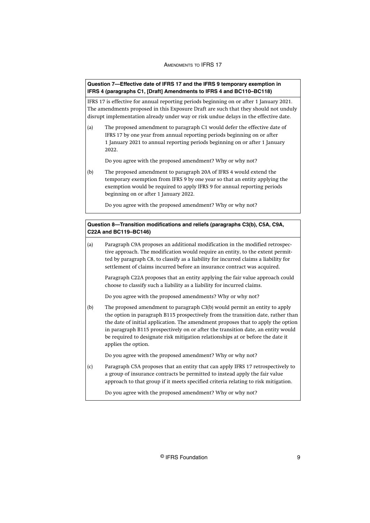#### **Question 7—Effective date of IFRS 17 and the IFRS 9 temporary exemption in IFRS 4 (paragraphs C1, [Draft] Amendments to IFRS 4 and BC110–BC118)**

IFRS 17 is effective for annual reporting periods beginning on or after 1 January 2021. The amendments proposed in this Exposure Draft are such that they should not unduly disrupt implementation already under way or risk undue delays in the effective date.

(a) The proposed amendment to paragraph C1 would defer the effective date of IFRS 17 by one year from annual reporting periods beginning on or after 1 January 2021 to annual reporting periods beginning on or after 1 January 2022.

Do you agree with the proposed amendment? Why or why not?

(b) The proposed amendment to paragraph 20A of IFRS 4 would extend the temporary exemption from IFRS 9 by one year so that an entity applying the exemption would be required to apply IFRS 9 for annual reporting periods beginning on or after 1 January 2022.

Do you agree with the proposed amendment? Why or why not?

## **Question 8—Transition modifications and reliefs (paragraphs C3(b), C5A, C9A, C22A and BC119–BC146)**

(a) Paragraph C9A proposes an additional modification in the modified retrospective approach. The modification would require an entity, to the extent permitted by paragraph C8, to classify as a liability for incurred claims a liability for settlement of claims incurred before an insurance contract was acquired.

Paragraph C22A proposes that an entity applying the fair value approach could choose to classify such a liability as a liability for incurred claims.

Do you agree with the proposed amendments? Why or why not?

(b) The proposed amendment to paragraph C3(b) would permit an entity to apply the option in paragraph B115 prospectively from the transition date, rather than the date of initial application. The amendment proposes that to apply the option in paragraph B115 prospectively on or after the transition date, an entity would be required to designate risk mitigation relationships at or before the date it applies the option.

Do you agree with the proposed amendment? Why or why not?

(c) Paragraph C5A proposes that an entity that can apply IFRS 17 retrospectively to a group of insurance contracts be permitted to instead apply the fair value approach to that group if it meets specified criteria relating to risk mitigation.

Do you agree with the proposed amendment? Why or why not?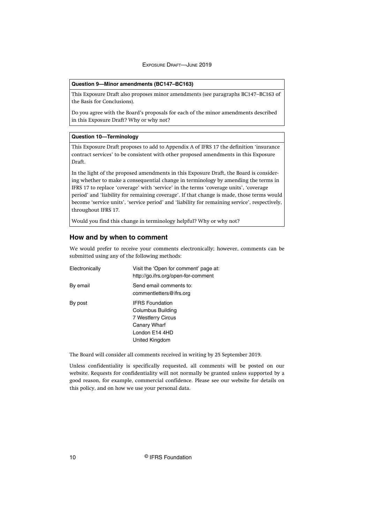#### **Question 9—Minor amendments (BC147–BC163)**

This Exposure Draft also proposes minor amendments (see paragraphs BC147–BC163 of the Basis for Conclusions).

Do you agree with the Board's proposals for each of the minor amendments described in this Exposure Draft? Why or why not?

#### **Question 10—Terminology**

This Exposure Draft proposes to add to Appendix A of IFRS 17 the definition 'insurance contract services' to be consistent with other proposed amendments in this Exposure Draft.

In the light of the proposed amendments in this Exposure Draft, the Board is considering whether to make a consequential change in terminology by amending the terms in IFRS 17 to replace 'coverage' with 'service' in the terms 'coverage units', 'coverage period' and 'liability for remaining coverage'. If that change is made, those terms would become 'service units', 'service period' and 'liability for remaining service', respectively, throughout IFRS 17.

Would you find this change in terminology helpful? Why or why not?

#### **How and by when to comment**

We would prefer to receive your comments electronically; however, comments can be submitted using any of the following methods:

| Visit the 'Open for comment' page at:<br>http://go.ifrs.org/open-for-comment |
|------------------------------------------------------------------------------|
| Send email comments to:<br>commentletters@ifrs.org                           |
|                                                                              |
|                                                                              |

The Board will consider all comments received in writing by 25 September 2019.

Unless confidentiality is specifically requested, all comments will be posted on our website. Requests for confidentiality will not normally be granted unless supported by a good reason, for example, commercial confidence. Please see our website for details on this policy, and on how we use your personal data.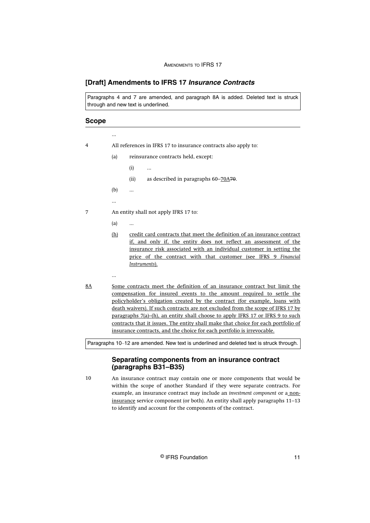## <span id="page-11-0"></span>**[Draft] Amendments to IFRS 17 Insurance Contracts**

Paragraphs 4 and 7 are amended, and paragraph 8A is added. Deleted text is struck through and new text is underlined.

## **Scope**

| 4  |     | All references in IFRS 17 to insurance contracts also apply to:                                                                                                                                                                                                                                                                                                                                                                                                                                                                                                     |
|----|-----|---------------------------------------------------------------------------------------------------------------------------------------------------------------------------------------------------------------------------------------------------------------------------------------------------------------------------------------------------------------------------------------------------------------------------------------------------------------------------------------------------------------------------------------------------------------------|
|    | (a) | reinsurance contracts held, except:                                                                                                                                                                                                                                                                                                                                                                                                                                                                                                                                 |
|    |     | (i)<br>                                                                                                                                                                                                                                                                                                                                                                                                                                                                                                                                                             |
|    |     | as described in paragraphs 60–70A70.<br>(ii)                                                                                                                                                                                                                                                                                                                                                                                                                                                                                                                        |
|    | (b) |                                                                                                                                                                                                                                                                                                                                                                                                                                                                                                                                                                     |
|    |     |                                                                                                                                                                                                                                                                                                                                                                                                                                                                                                                                                                     |
| 7  |     | An entity shall not apply IFRS 17 to:                                                                                                                                                                                                                                                                                                                                                                                                                                                                                                                               |
|    | (a) |                                                                                                                                                                                                                                                                                                                                                                                                                                                                                                                                                                     |
|    | (h) | credit card contracts that meet the definition of an insurance contract<br>if, and only if, the entity does not reflect an assessment of the<br>insurance risk associated with an individual customer in setting the<br>price of the contract with that customer (see IFRS 9 Financial<br>Instruments).                                                                                                                                                                                                                                                             |
|    |     |                                                                                                                                                                                                                                                                                                                                                                                                                                                                                                                                                                     |
| 8A |     | Some contracts meet the definition of an insurance contract but limit the<br>compensation for insured events to the amount required to settle the<br>policyholder's obligation created by the contract (for example, loans with<br>death waivers). If such contracts are not excluded from the scope of IFRS 17 by<br>paragraphs 7(a)-(h), an entity shall choose to apply IFRS 17 or IFRS 9 to such<br>contracts that it issues. The entity shall make that choice for each portfolio of<br>insurance contracts, and the choice for each portfolio is irrevocable. |
|    |     | Paragraphs 10-12 are amended. New text is underlined and deleted text is struck through.                                                                                                                                                                                                                                                                                                                                                                                                                                                                            |

## **Separating components from an insurance contract (paragraphs B31–B35)**

An insurance contract may contain one or more components that would be within the scope of another Standard if they were separate contracts. For example, an insurance contract may include an *investment component* or a noninsurance service component (or both). An entity shall apply paragraphs 11–13 to identify and account for the components of the contract. 10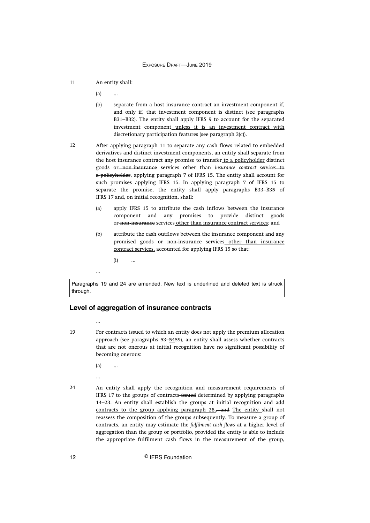- An entity shall: 11
	- (a) ...
	- (b) separate from a host insurance contract an investment component if, and only if, that investment component is distinct (see paragraphs B31–B32). The entity shall apply IFRS 9 to account for the separated investment component unless it is an investment contract with discretionary participation features (see paragraph 3(c)).
- After applying paragraph 11 to separate any cash flows related to embedded derivatives and distinct investment components, an entity shall separate from the host insurance contract any promise to transfer to a policyholder distinct goods or non‑insurance services other than *insurance contract services* to a policyholder, applying paragraph 7 of IFRS 15. The entity shall account for such promises applying IFRS 15. In applying paragraph 7 of IFRS 15 to separate the promise, the entity shall apply paragraphs B33–B35 of IFRS 17 and, on initial recognition, shall: 12
	- (a) apply IFRS 15 to attribute the cash inflows between the insurance component and any promises to provide distinct goods or-non-insurance services other than insurance contract services; and
	- (b) attribute the cash outflows between the insurance component and any promised goods or-non-insurance services other than insurance contract services, accounted for applying IFRS 15 so that:
		- $(i)$  ...

Paragraphs 19 and 24 are amended. New text is underlined and deleted text is struck through.

## **Level of aggregation of insurance contracts**

19

For contracts issued to which an entity does not apply the premium allocation approach (see paragraphs 53–5459), an entity shall assess whether contracts that are not onerous at initial recognition have no significant possibility of becoming onerous:

- (a) ...
- ...

...

...

An entity shall apply the recognition and measurement requirements of IFRS 17 to the groups of contracts-issued determined by applying paragraphs 14–23. An entity shall establish the groups at initial recognition and add contracts to the group applying paragraph 28., and The entity shall not reassess the composition of the groups subsequently. To measure a group of contracts, an entity may estimate the *fulfilment cash flows* at a higher level of aggregation than the group or portfolio, provided the entity is able to include the appropriate fulfilment cash flows in the measurement of the group, 24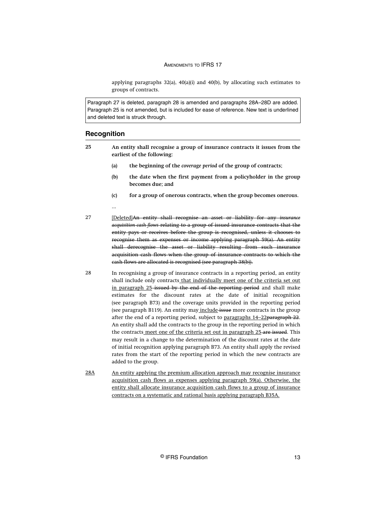applying paragraphs 32(a), 40(a)(i) and 40(b), by allocating such estimates to groups of contracts.

Paragraph 27 is deleted, paragraph 28 is amended and paragraphs 28A–28D are added. Paragraph 25 is not amended, but is included for ease of reference. New text is underlined and deleted text is struck through.

### **Recognition**

- **An entity shall recognise a group of insurance contracts it issues from the earliest of the following: 25**
	- **(a) the beginning of the** *coverage period* **of the group of contracts;**
	- **(b) the date when the first payment from a policyholder in the group becomes due; and**
	- **(c) for a group of onerous contracts, when the group becomes onerous.** ...
- [Deleted]An entity shall recognise an asset or liability for any *insurance acquisition cash flows* relating to a group of issued insurance contracts that the entity pays or receives before the group is recognised, unless it chooses to recognise them as expenses or income applying paragraph 59(a). An entity shall derecognise the asset or liability resulting from such insurance acquisition cash flows when the group of insurance contracts to which the cash flows are allocated is recognised (see paragraph 38(b)). 27
- In recognising a group of insurance contracts in a reporting period, an entity shall include only contracts that individually meet one of the criteria set out in paragraph 25-issued by the end of the reporting period and shall make estimates for the discount rates at the date of initial recognition (see paragraph B73) and the coverage units provided in the reporting period (see paragraph B119). An entity may include issue more contracts in the group after the end of a reporting period, subject to paragraphs  $14-22$  paragraph  $22$ . An entity shall add the contracts to the group in the reporting period in which the contracts meet one of the criteria set out in paragraph 25-are issued. This may result in a change to the determination of the discount rates at the date of initial recognition applying paragraph B73. An entity shall apply the revised rates from the start of the reporting period in which the new contracts are added to the group. 28
- An entity applying the premium allocation approach may recognise insurance acquisition cash flows as expenses applying paragraph 59(a). Otherwise, the entity shall allocate insurance acquisition cash flows to a group of insurance contracts on a systematic and rational basis applying paragraph B35A. 28A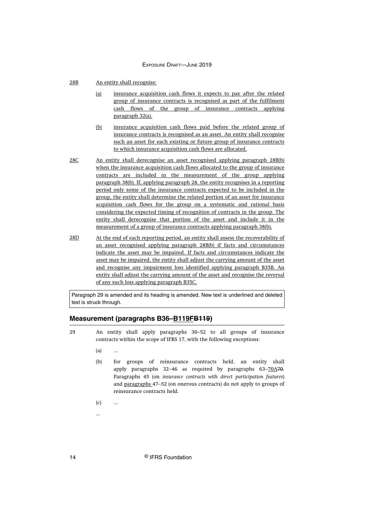- An entity shall recognise: 28B
	- (a) insurance acquisition cash flows it expects to pay after the related group of insurance contracts is recognised as part of the fulfilment cash flows of the group of insurance contracts applying paragraph 32(a).
	- (b) insurance acquisition cash flows paid before the related group of insurance contracts is recognised as an asset. An entity shall recognise such an asset for each existing or future group of insurance contracts to which insurance acquisition cash flows are allocated.
- An entity shall derecognise an asset recognised applying paragraph 28B(b) when the insurance acquisition cash flows allocated to the group of insurance contracts are included in the measurement of the group applying paragraph 38(b). If, applying paragraph 28, the entity recognises in a reporting period only some of the insurance contracts expected to be included in the group, the entity shall determine the related portion of an asset for insurance acquisition cash flows for the group on a systematic and rational basis considering the expected timing of recognition of contracts in the group. The entity shall derecognise that portion of the asset and include it in the measurement of a group of insurance contracts applying paragraph 38(b). 28C
- At the end of each reporting period, an entity shall assess the recoverability of an asset recognised applying paragraph 28B(b) if facts and circumstances indicate the asset may be impaired. If facts and circumstances indicate the asset may be impaired, the entity shall adjust the carrying amount of the asset and recognise any impairment loss identified applying paragraph B35B. An entity shall adjust the carrying amount of the asset and recognise the reversal of any such loss applying paragraph B35C. 28D

Paragraph 29 is amended and its heading is amended. New text is underlined and deleted text is struck through.

## **Measurement (paragraphs B36–B119FB119)**

- An entity shall apply paragraphs 30–52 to all groups of insurance contracts within the scope of IFRS 17, with the following exceptions:  $29$ 
	- $(a)$  ...
	- (b) for groups of reinsurance contracts held, an entity shall apply paragraphs 32–46 as required by paragraphs 63–70A70. Paragraphs 45 (on *insurance contracts with direct participation features*) and paragraphs 47–52 (on onerous contracts) do not apply to groups of reinsurance contracts held.
	- $(c)$  ...
	- ...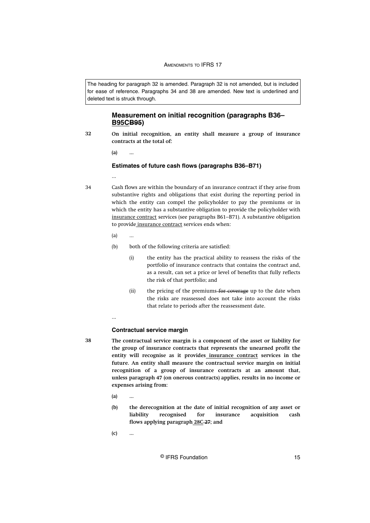The heading for paragraph 32 is amended. Paragraph 32 is not amended, but is included for ease of reference. Paragraphs 34 and 38 are amended. New text is underlined and deleted text is struck through.

## **Measurement on initial recognition (paragraphs B36– B95CB95)**

**On initial recognition, an entity shall measure a group of insurance contracts at the total of: 32**

**(a) ...**

#### **Estimates of future cash flows (paragraphs B36–B71)**

...

34

**38**

- Cash flows are within the boundary of an insurance contract if they arise from substantive rights and obligations that exist during the reporting period in which the entity can compel the policyholder to pay the premiums or in which the entity has a substantive obligation to provide the policyholder with insurance contract services (see paragraphs B61–B71). A substantive obligation to provide insurance contract services ends when:
	- $(a)$
	- (b) both of the following criteria are satisfied:
		- (i) the entity has the practical ability to reassess the risks of the portfolio of insurance contracts that contains the contract and, as a result, can set a price or level of benefits that fully reflects the risk of that portfolio; and
		- (ii) the pricing of the premiums for coverage up to the date when the risks are reassessed does not take into account the risks that relate to periods after the reassessment date.
	- ...

#### **Contractual service margin**

- **The contractual service margin is a component of the asset or liability for the group of insurance contracts that represents the unearned profit the entity will recognise as it provides insurance contract services in the future. An entity shall measure the contractual service margin on initial recognition of a group of insurance contracts at an amount that, unless paragraph 47 (on onerous contracts) applies, results in no income or expenses arising from:** 
	- **(a) ...**
	- **(b) the derecognition at the date of initial recognition of any asset or liability recognised for insurance acquisition cash flows applying paragraph 28C 27; and**
	- **(c) ...**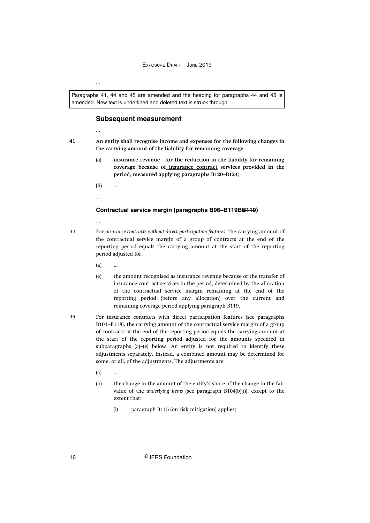Paragraphs 41, 44 and 45 are amended and the heading for paragraphs 44 and 45 is amended. New text is underlined and deleted text is struck through.

## **Subsequent measurement**

- **41**
- **An entity shall recognise income and expenses for the following changes in the carrying amount of the liability for remaining coverage:** 
	- **(a) insurance revenue—for the reduction in the liability for remaining coverage because of insurance contract services provided in the period, measured applying paragraphs B120–B124;**
	- **(b) ...**
	- ...

...

...

...

#### **Contractual service margin (paragraphs B96–B119BB119)**

- 44
	- For *insurance contracts without direct participation features*, the carrying amount of the contractual service margin of a group of contracts at the end of the reporting period equals the carrying amount at the start of the reporting period adjusted for:
		- $(a)$  ...
		- (e) the amount recognised as insurance revenue because of the transfer of insurance contract services in the period, determined by the allocation of the contractual service margin remaining at the end of the reporting period (before any allocation) over the current and remaining coverage period applying paragraph B119.
- For insurance contracts with direct participation features (see paragraphs B101–B118), the carrying amount of the contractual service margin of a group of contracts at the end of the reporting period equals the carrying amount at the start of the reporting period adjusted for the amounts specified in subparagraphs (a)–(e) below. An entity is not required to identify these adjustments separately. Instead, a combined amount may be determined for some, or all, of the adjustments. The adjustments are: 45
	- $(a)$
	- (b) the change in the amount of the entity's share of the change in the fair value of the *underlying items* (see paragraph B104(b)(i)), except to the extent that:
		- (i) paragraph B115 (on risk mitigation) applies;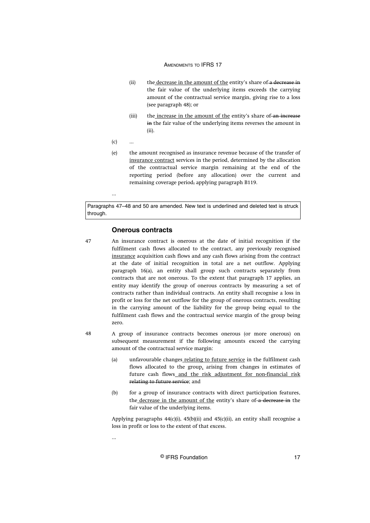- (ii) the decrease in the amount of the entity's share of a decrease in the fair value of the underlying items exceeds the carrying amount of the contractual service margin, giving rise to a loss (see paragraph 48); or
- (iii) the increase in the amount of the entity's share of an increase in the fair value of the underlying items reverses the amount in (ii).
- $(c)$  ...

...

(e) the amount recognised as insurance revenue because of the transfer of insurance contract services in the period, determined by the allocation of the contractual service margin remaining at the end of the reporting period (before any allocation) over the current and remaining coverage period, applying paragraph B119.

Paragraphs 47–48 and 50 are amended. New text is underlined and deleted text is struck through.

#### **Onerous contracts**

- An insurance contract is onerous at the date of initial recognition if the fulfilment cash flows allocated to the contract, any previously recognised insurance acquisition cash flows and any cash flows arising from the contract at the date of initial recognition in total are a net outflow. Applying paragraph 16(a), an entity shall group such contracts separately from contracts that are not onerous. To the extent that paragraph 17 applies, an entity may identify the group of onerous contracts by measuring a set of contracts rather than individual contracts. An entity shall recognise a loss in profit or loss for the net outflow for the group of onerous contracts, resulting in the carrying amount of the liability for the group being equal to the fulfilment cash flows and the contractual service margin of the group being zero. 47
- A group of insurance contracts becomes onerous (or more onerous) on subsequent measurement if the following amounts exceed the carrying amount of the contractual service margin: 48
	- (a) unfavourable changes relating to future service in the fulfilment cash flows allocated to the group, arising from changes in estimates of future cash flows and the risk adjustment for non-financial risk relating to future service; and
	- (b) for a group of insurance contracts with direct participation features, the decrease in the amount of the entity's share of a decrease in the fair value of the underlying items.

Applying paragraphs  $44(c)(i)$ ,  $45(b)(ii)$  and  $45(c)(ii)$ , an entity shall recognise a loss in profit or loss to the extent of that excess.

...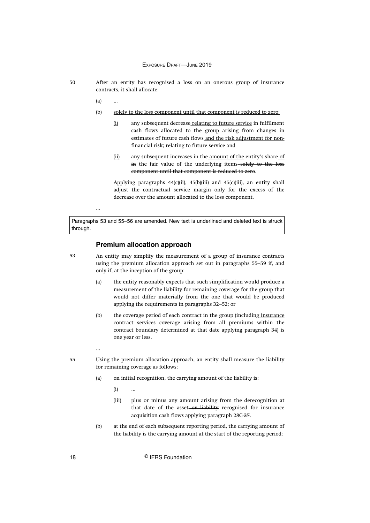- 50
- After an entity has recognised a loss on an onerous group of insurance contracts, it shall allocate:
	- $(a)$  ...

...

- (b) solely to the loss component until that component is reduced to zero:
	- (i) any subsequent decrease relating to future service in fulfilment cash flows allocated to the group arising from changes in estimates of future cash flows and the risk adjustment for nonfinancial risk; relating to future service and
	- (ii) any subsequent increases in the amount of the entity's share of in the fair value of the underlying items-solely to the loss component until that component is reduced to zero.

Applying paragraphs  $44(c)(ii)$ ,  $45(b)(iii)$  and  $45(c)(iii)$ , an entity shall adjust the contractual service margin only for the excess of the decrease over the amount allocated to the loss component.

Paragraphs 53 and 55–56 are amended. New text is underlined and deleted text is struck through.

#### **Premium allocation approach**

53

An entity may simplify the measurement of a group of insurance contracts using the premium allocation approach set out in paragraphs 55–59 if, and only if, at the inception of the group:

- (a) the entity reasonably expects that such simplification would produce a measurement of the liability for remaining coverage for the group that would not differ materially from the one that would be produced applying the requirements in paragraphs 32–52; or
- (b) the coverage period of each contract in the group (including insurance contract services-coverage arising from all premiums within the contract boundary determined at that date applying paragraph 34) is one year or less.

55

...

- Using the premium allocation approach, an entity shall measure the liability for remaining coverage as follows:
	- (a) on initial recognition, the carrying amount of the liability is:

 $(i)$  ...

- (iii) plus or minus any amount arising from the derecognition at that date of the asset-or liability recognised for insurance acquisition cash flows applying paragraph 28C-27.
- (b) at the end of each subsequent reporting period, the carrying amount of the liability is the carrying amount at the start of the reporting period:

18 **Canadian C** IFRS Foundation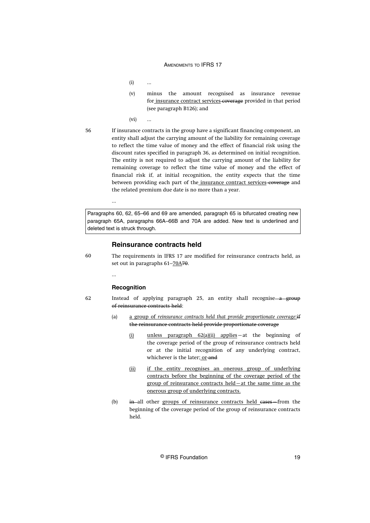$(i)$  ...

(v) minus the amount recognised as insurance revenue for insurance contract services-coverage provided in that period (see paragraph B126); and

(vi) ...

56

If insurance contracts in the group have a significant financing component, an entity shall adjust the carrying amount of the liability for remaining coverage to reflect the time value of money and the effect of financial risk using the discount rates specified in paragraph 36, as determined on initial recognition. The entity is not required to adjust the carrying amount of the liability for remaining coverage to reflect the time value of money and the effect of financial risk if, at initial recognition, the entity expects that the time between providing each part of the insurance contract services-coverage and the related premium due date is no more than a year.

Paragraphs 60, 62, 65–66 and 69 are amended, paragraph 65 is bifurcated creating new paragraph 65A, paragraphs 66A–66B and 70A are added. New text is underlined and deleted text is struck through.

#### **Reinsurance contracts held**

60

The requirements in IFRS 17 are modified for reinsurance contracts held, as set out in paragraphs 61–70A70.

...

...

#### **Recognition**

62

Instead of applying paragraph 25, an entity shall recognise—a group of reinsurance contracts held:

- (a) a group of *reinsurance contracts held that provide proportionate coverage*:if the reinsurance contracts held provide proportionate coverage
	- (i) unless paragraph 62(a)(ii) applies—at the beginning of the coverage period of the group of reinsurance contracts held or at the initial recognition of any underlying contract, whichever is the later; or-and
	- (ii) if the entity recognises an onerous group of underlying contracts before the beginning of the coverage period of the group of reinsurance contracts held—at the same time as the onerous group of underlying contracts.
- (b) in all other groups of reinsurance contracts held cases—from the beginning of the coverage period of the group of reinsurance contracts held.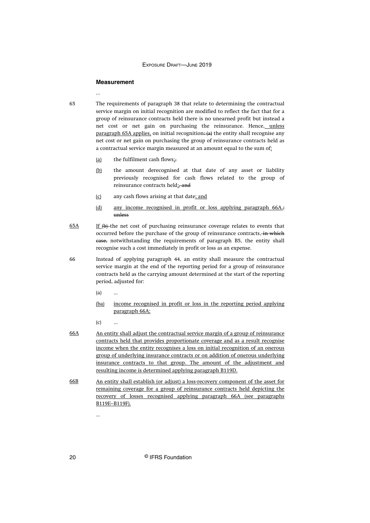#### **Measurement**

...

65

The requirements of paragraph 38 that relate to determining the contractual service margin on initial recognition are modified to reflect the fact that for a group of reinsurance contracts held there is no unearned profit but instead a net cost or net gain on purchasing the reinsurance. Hence, unless paragraph 65A applies, on initial recognition:  $(a)$  the entity shall recognise any net cost or net gain on purchasing the group of reinsurance contracts held as a contractual service margin measured at an amount equal to the sum of:

- (a) the fulfilment cash flows $\mathbf{r}_i$ ,
- (b) the amount derecognised at that date of any asset or liability previously recognised for cash flows related to the group of reinsurance contracts held;-and
- (c) any cash flows arising at that date; and
- (d) any income recognised in profit or loss applying paragraph 66A.; unless
- If  $(b)$  the net cost of purchasing reinsurance coverage relates to events that occurred before the purchase of the group of reinsurance contracts, in which case, notwithstanding the requirements of paragraph B5, the entity shall recognise such a cost immediately in profit or loss as an expense. 65A
- Instead of applying paragraph 44, an entity shall measure the contractual service margin at the end of the reporting period for a group of reinsurance contracts held as the carrying amount determined at the start of the reporting period, adjusted for: 66
	- (a) ...
	- (ba) income recognised in profit or loss in the reporting period applying paragraph 66A;
	- $(c)$  ...
- An entity shall adjust the contractual service margin of a group of reinsurance contracts held that provides proportionate coverage and as a result recognise income when the entity recognises a loss on initial recognition of an onerous group of underlying insurance contracts or on addition of onerous underlying insurance contracts to that group. The amount of the adjustment and resulting income is determined applying paragraph B119D. 66A
- An entity shall establish (or adjust) a loss-recovery component of the asset for remaining coverage for a group of reinsurance contracts held depicting the recovery of losses recognised applying paragraph 66A (see paragraphs B119E–B119F). 66B

...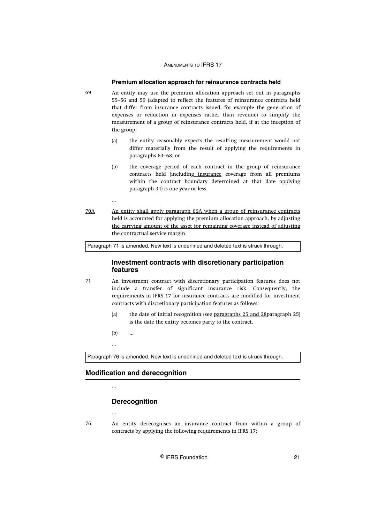#### **Premium allocation approach for reinsurance contracts held**

- An entity may use the premium allocation approach set out in paragraphs 55–56 and 59 (adapted to reflect the features of reinsurance contracts held that differ from insurance contracts issued, for example the generation of expenses or reduction in expenses rather than revenue) to simplify the measurement of a group of reinsurance contracts held, if at the inception of the group:
	- (a) the entity reasonably expects the resulting measurement would not differ materially from the result of applying the requirements in paragraphs 63–68; or
	- (b) the coverage period of each contract in the group of reinsurance contracts held (including insurance coverage from all premiums within the contract boundary determined at that date applying paragraph 34) is one year or less.
- An entity shall apply paragraph 66A when a group of reinsurance contracts held is accounted for applying the premium allocation approach, by adjusting the carrying amount of the asset for remaining coverage instead of adjusting the contractual service margin. 70A

Paragraph 71 is amended. New text is underlined and deleted text is struck through.

## **Investment contracts with discretionary participation features**

- An investment contract with discretionary participation features does not include a transfer of significant insurance risk. Consequently, the requirements in IFRS 17 for insurance contracts are modified for investment contracts with discretionary participation features as follows: 71
	- (a) the date of initial recognition (see paragraphs 25 and 28paragraph 25) is the date the entity becomes party to the contract.
	- $(b)$  ...

...

...

69

Paragraph 76 is amended. New text is underlined and deleted text is struck through.

#### **Modification and derecognition**

#### ...

...

## **Derecognition**

An entity derecognises an insurance contract from within a group of contracts by applying the following requirements in IFRS 17: 76

© IFRS Foundation 21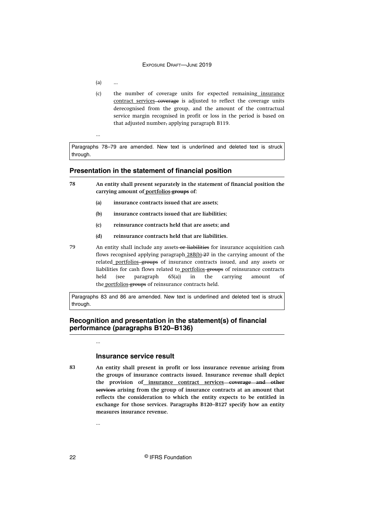$(a)$ 

...

(c) the number of coverage units for expected remaining insurance contract services-coverage is adjusted to reflect the coverage units derecognised from the group, and the amount of the contractual service margin recognised in profit or loss in the period is based on that adjusted number, applying paragraph B119.

Paragraphs 78–79 are amended. New text is underlined and deleted text is struck through.

#### **Presentation in the statement of financial position**

- **An entity shall present separately in the statement of financial position the carrying amount of portfolios groups of: 78**
	- **(a) insurance contracts issued that are assets;**
	- **(b) insurance contracts issued that are liabilities;**
	- **(c) reinsurance contracts held that are assets; and**
	- **(d) reinsurance contracts held that are liabilities.**
- An entity shall include any assets-or liabilities for insurance acquisition cash flows recognised applying paragraph 28B(b)-27 in the carrying amount of the related portfolios groups of insurance contracts issued, and any assets or liabilities for cash flows related to portfolios-groups of reinsurance contracts held (see paragraph 65(a)) in the carrying amount of the portfolios-groups of reinsurance contracts held. 79

Paragraphs 83 and 86 are amended. New text is underlined and deleted text is struck through.

## **Recognition and presentation in the statement(s) of financial performance (paragraphs B120–B136)**

### **Insurance service result**

**83**

...

...

**An entity shall present in profit or loss insurance revenue arising from the groups of insurance contracts issued. Insurance revenue shall depict the provision of insurance contract services coverage and other services arising from the group of insurance contracts at an amount that reflects the consideration to which the entity expects to be entitled in exchange for those services. Paragraphs B120–B127 specify how an entity measures insurance revenue.**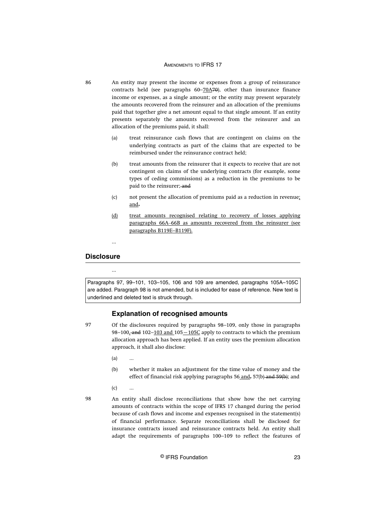An entity may present the income or expenses from a group of reinsurance contracts held (see paragraphs  $60-70A70$ ), other than insurance finance income or expenses, as a single amount; or the entity may present separately the amounts recovered from the reinsurer and an allocation of the premiums paid that together give a net amount equal to that single amount. If an entity presents separately the amounts recovered from the reinsurer and an allocation of the premiums paid, it shall:

- (a) treat reinsurance cash flows that are contingent on claims on the underlying contracts as part of the claims that are expected to be reimbursed under the reinsurance contract held;
- (b) treat amounts from the reinsurer that it expects to receive that are not contingent on claims of the underlying contracts (for example, some types of ceding commissions) as a reduction in the premiums to be paid to the reinsurer; and
- (c) not present the allocation of premiums paid as a reduction in revenue; and.
- (d) treat amounts recognised relating to recovery of losses applying paragraphs 66A–66B as amounts recovered from the reinsurer (see paragraphs B119E–B119F).

...

## **Disclosure**

86

...

Paragraphs 97, 99–101, 103–105, 106 and 109 are amended, paragraphs 105A–105C are added. Paragraph 98 is not amended, but is included for ease of reference. New text is underlined and deleted text is struck through.

### **Explanation of recognised amounts**

- Of the disclosures required by paragraphs 98–109, only those in paragraphs 98–100, and 102–103 and 105–105C apply to contracts to which the premium allocation approach has been applied. If an entity uses the premium allocation approach, it shall also disclose: 97
	- (a) ...
	- (b) whether it makes an adjustment for the time value of money and the effect of financial risk applying paragraphs 56 and, 57(b) and 59(b); and
	- $(c)$

98

An entity shall disclose reconciliations that show how the net carrying amounts of contracts within the scope of IFRS 17 changed during the period because of cash flows and income and expenses recognised in the statement(s) of financial performance. Separate reconciliations shall be disclosed for insurance contracts issued and reinsurance contracts held. An entity shall adapt the requirements of paragraphs 100–109 to reflect the features of

© IFRS Foundation 23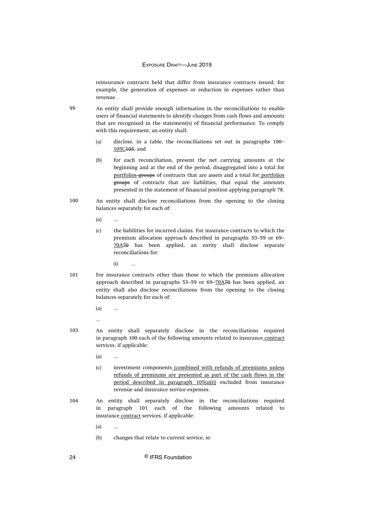reinsurance contracts held that differ from insurance contracts issued; for example, the generation of expenses or reduction in expenses rather than revenue.

- An entity shall provide enough information in the reconciliations to enable users of financial statements to identify changes from cash flows and amounts that are recognised in the statement(s) of financial performance. To comply with this requirement, an entity shall: 99
	- (a) disclose, in a table, the reconciliations set out in paragraphs 100– 105C105; and
	- (b) for each reconciliation, present the net carrying amounts at the beginning and at the end of the period, disaggregated into a total for portfolios groups of contracts that are assets and a total for portfolios groups of contracts that are liabilities, that equal the amounts presented in the statement of financial position applying paragraph 78.
- An entity shall disclose reconciliations from the opening to the closing balances separately for each of: 100
	- $(a)$
	- (c) the liabilities for incurred claims. For insurance contracts to which the premium allocation approach described in paragraphs 53–59 or 69– 70A70 has been applied, an entity shall disclose separate reconciliations for:
		- $(i)$
- For insurance contracts other than those to which the premium allocation approach described in paragraphs 53–59 or 69–70A70 has been applied, an entity shall also disclose reconciliations from the opening to the closing balances separately for each of: 101
	- (a) ...
	- ...
- An entity shall separately disclose in the reconciliations required in paragraph 100 each of the following amounts related to insurance contract services, if applicable: 103
	- (a) ...
	- (c) investment components (combined with refunds of premiums unless refunds of premiums are presented as part of the cash flows in the period described in paragraph 105(a)(i)) excluded from insurance revenue and insurance service expenses.
- An entity shall separately disclose in the reconciliations required in paragraph 101 each of the following amounts related to insurance contract services, if applicable: 104
	- $(a)$
	- (b) changes that relate to current service, ie:

24 © IFRS Foundation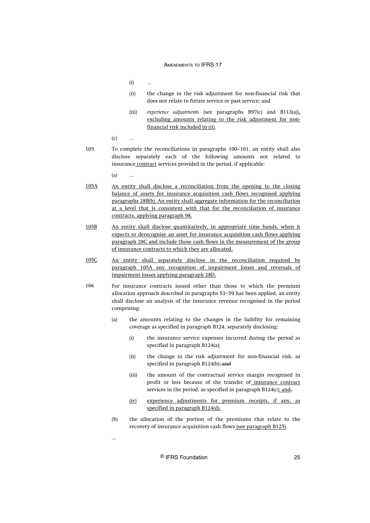$(i)$ 

- (ii) the change in the risk adjustment for non-financial risk that does not relate to future service or past service; and
- (iii) *experience adjustments* (see paragraphs B97(c) and B113(a)), excluding amounts relating to the risk adjustment for nonfinancial risk included in (ii).
- $(c)$  ...
- To complete the reconciliations in paragraphs 100–101, an entity shall also disclose separately each of the following amounts not related to insurance contract services provided in the period, if applicable: 105

 $(a)$  ...

- An entity shall disclose a reconciliation from the opening to the closing balance of assets for insurance acquisition cash flows recognised applying paragraphs 28B(b). An entity shall aggregate information for the reconciliation at a level that is consistent with that for the reconciliation of insurance contracts, applying paragraph 98. 105A
- An entity shall disclose quantitatively, in appropriate time bands, when it expects to derecognise an asset for insurance acquisition cash flows applying paragraph 28C and include those cash flows in the measurement of the group of insurance contracts to which they are allocated. 105B
- An entity shall separately disclose in the reconciliation required by paragraph 105A any recognition of impairment losses and reversals of impairment losses applying paragraph 28D. 105C
- For insurance contracts issued other than those to which the premium allocation approach described in paragraphs 53–59 has been applied, an entity shall disclose an analysis of the insurance revenue recognised in the period comprising: 106
	- (a) the amounts relating to the changes in the liability for remaining coverage as specified in paragraph B124, separately disclosing:
		- (i) the insurance service expenses incurred during the period as specified in paragraph B124(a);
		- (ii) the change in the risk adjustment for non-financial risk, as specified in paragraph B124(b); and
		- (iii) the amount of the contractual service margin recognised in profit or loss because of the transfer of insurance contract services in the period, as specified in paragraph B124(c); and.
		- (iv) experience adjustments for premium receipts, if any, as specified in paragraph B124(d).
	- (b) the allocation of the portion of the premiums that relate to the recovery of insurance acquisition cash flows (see paragraph B125).

...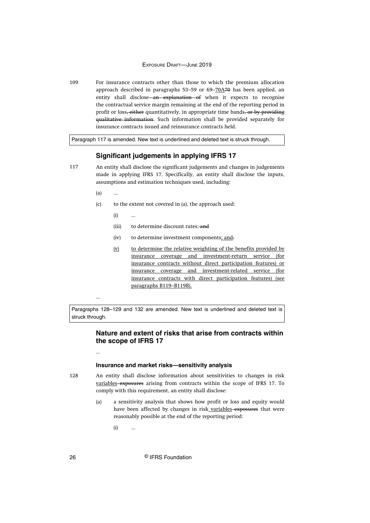For insurance contracts other than those to which the premium allocation approach described in paragraphs  $53-59$  or  $69-70A70$  has been applied, an entity shall disclose-an explanation of when it expects to recognise the contractual service margin remaining at the end of the reporting period in profit or loss, either quantitatively, in appropriate time bands, or by providing qualitative information. Such information shall be provided separately for insurance contracts issued and reinsurance contracts held. 109

Paragraph 117 is amended. New text is underlined and deleted text is struck through.

## **Significant judgements in applying IFRS 17**

117

An entity shall disclose the significant judgements and changes in judgements made in applying IFRS 17. Specifically, an entity shall disclose the inputs, assumptions and estimation techniques used, including:

- $(a)$
- (c) to the extent not covered in (a), the approach used:
	- $(i)$
	- (iii) to determine discount rates;-and
	- (iv) to determine investment components; and-
	- (v) to determine the relative weighting of the benefits provided by insurance coverage and investment-return service (for insurance contracts without direct participation features) or insurance coverage and investment-related service (for insurance contracts with direct participation features) (see paragraphs B119–B119B).

...

...

Paragraphs 128–129 and 132 are amended. New text is underlined and deleted text is struck through.

## **Nature and extent of risks that arise from contracts within the scope of IFRS 17**

#### **Insurance and market risks—sensitivity analysis**

128

An entity shall disclose information about sensitivities to changes in risk variables exposures arising from contracts within the scope of IFRS 17. To comply with this requirement, an entity shall disclose:

- (a) a sensitivity analysis that shows how profit or loss and equity would have been affected by changes in risk variables-exposures that were reasonably possible at the end of the reporting period:
	- $(i)$  ...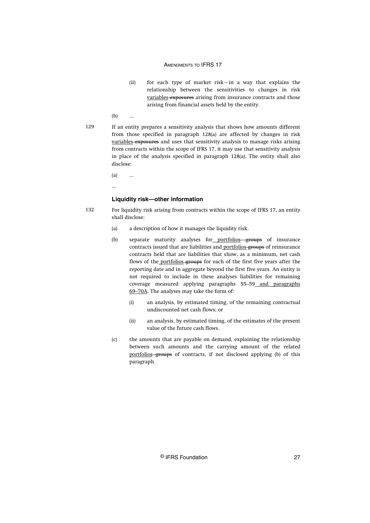- (ii) for each type of market risk—in a way that explains the relationship between the sensitivities to changes in risk variables-exposures arising from insurance contracts and those arising from financial assets held by the entity.
- $(b)$  ...
- If an entity prepares a sensitivity analysis that shows how amounts different from those specified in paragraph 128(a) are affected by changes in risk variables exposures and uses that sensitivity analysis to manage risks arising from contracts within the scope of IFRS 17, it may use that sensitivity analysis in place of the analysis specified in paragraph 128(a). The entity shall also disclose: 129
	- $(a)$  ...
	- ...

#### **Liquidity risk—other information**

- For liquidity risk arising from contracts within the scope of IFRS 17, an entity shall disclose: 132
	- (a) a description of how it manages the liquidity risk.
	- (b) separate maturity analyses for portfolios groups of insurance contracts issued that are liabilities and portfolios groups of reinsurance contracts held that are liabilities that show, as a minimum, net cash flows of the portfolios groups for each of the first five years after the reporting date and in aggregate beyond the first five years. An entity is not required to include in these analyses liabilities for remaining coverage measured applying paragraphs 55–59 and paragraphs 69–70A. The analyses may take the form of:
		- (i) an analysis, by estimated timing, of the remaining contractual undiscounted net cash flows; or
		- (ii) an analysis, by estimated timing, of the estimates of the present value of the future cash flows.
	- (c) the amounts that are payable on demand, explaining the relationship between such amounts and the carrying amount of the related portfolios-groups of contracts, if not disclosed applying (b) of this paragraph.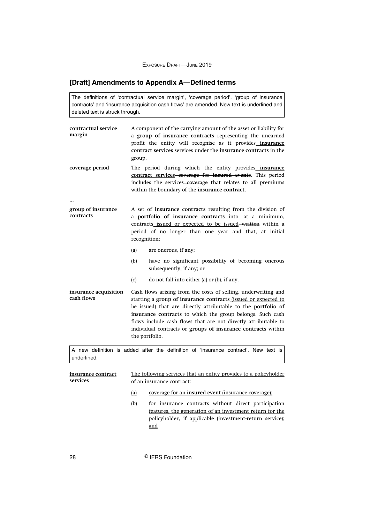## <span id="page-28-0"></span>**[Draft] Amendments to Appendix A—Defined terms**

The definitions of 'contractual service margin', 'coverage period', 'group of insurance contracts' and 'insurance acquisition cash flows' are amended. New text is underlined and deleted text is struck through.

| contractual service<br>margin       | A component of the carrying amount of the asset or liability for<br>a group of insurance contracts representing the unearned<br>profit the entity will recognise as it provides_insurance<br>contract services services under the insurance contracts in the<br>group.                                                                                                                                                    |
|-------------------------------------|---------------------------------------------------------------------------------------------------------------------------------------------------------------------------------------------------------------------------------------------------------------------------------------------------------------------------------------------------------------------------------------------------------------------------|
| coverage period                     | The period during which the entity provides insurance<br>contract services-coverage for insured events. This period<br>includes the services-coverage that relates to all premiums<br>within the boundary of the insurance contract.                                                                                                                                                                                      |
| group of insurance                  | A set of insurance contracts resulting from the division of                                                                                                                                                                                                                                                                                                                                                               |
| contracts                           | a portfolio of insurance contracts into, at a minimum,<br>contracts issued or expected to be issued-written within a<br>period of no longer than one year and that, at initial<br>recognition:                                                                                                                                                                                                                            |
|                                     | are onerous, if any;<br>(a)                                                                                                                                                                                                                                                                                                                                                                                               |
|                                     | have no significant possibility of becoming onerous<br>(b)<br>subsequently, if any; or                                                                                                                                                                                                                                                                                                                                    |
|                                     | (c)<br>do not fall into either (a) or (b), if any.                                                                                                                                                                                                                                                                                                                                                                        |
| insurance acquisition<br>cash flows | Cash flows arising from the costs of selling, underwriting and<br>starting a group of insurance contracts <i>lissued</i> or expected to<br>be issued) that are directly attributable to the portfolio of<br>insurance contracts to which the group belongs. Such cash<br>flows include cash flows that are not directly attributable to<br>individual contracts or groups of insurance contracts within<br>the portfolio. |
|                                     | and the contract of the contract of the contract of the contract of the contract of<br>$\mathbf{r}$ $\mathbf{r}$                                                                                                                                                                                                                                                                                                          |

A new definition is added after the definition of 'insurance contract'. New text is underlined.

| insurance contract<br>services | The following services that an entity provides to a policyholder<br>of an insurance contract: |                                                                                                                                                                                     |  |  |
|--------------------------------|-----------------------------------------------------------------------------------------------|-------------------------------------------------------------------------------------------------------------------------------------------------------------------------------------|--|--|
|                                | (a)                                                                                           | coverage for an <b>insured</b> event <i>(insurance coverage)</i> ;                                                                                                                  |  |  |
|                                | (b)                                                                                           | for insurance contracts without direct participation<br>features, the generation of an investment return for the<br>policyholder, if applicable (investment-return service);<br>and |  |  |

28 © IFRS Foundation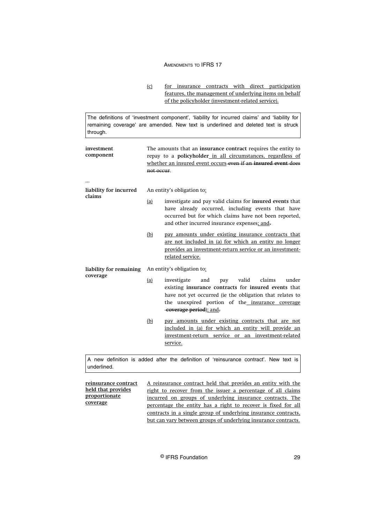The definitions of 'investment component', 'liability for incurred claims' and 'liability for remaining coverage' are amended. New text is underlined and deleted text is struck through.

| investment<br>component          | The amounts that an insurance contract requires the entity to<br>repay to a policyholder in all circumstances, regardless of<br>whether an insured event occurs even if an insured event does<br>not occur. |                                                                                                                                                                                                                                                        |  |  |  |
|----------------------------------|-------------------------------------------------------------------------------------------------------------------------------------------------------------------------------------------------------------|--------------------------------------------------------------------------------------------------------------------------------------------------------------------------------------------------------------------------------------------------------|--|--|--|
|                                  |                                                                                                                                                                                                             |                                                                                                                                                                                                                                                        |  |  |  |
| liability for incurred<br>claims | An entity's obligation to:                                                                                                                                                                                  |                                                                                                                                                                                                                                                        |  |  |  |
|                                  | (a)                                                                                                                                                                                                         | investigate and pay valid claims for <b>insured</b> events that<br>have already occurred, including events that have<br>occurred but for which claims have not been reported,<br>and other incurred insurance expenses; and.                           |  |  |  |
|                                  | (b)                                                                                                                                                                                                         | pay amounts under existing insurance contracts that<br>are not included in (a) for which an entity no longer<br>provides an investment-return service or an investment-<br>related service.                                                            |  |  |  |
| liability for remaining          |                                                                                                                                                                                                             | An entity's obligation to:                                                                                                                                                                                                                             |  |  |  |
| coverage                         | (a)                                                                                                                                                                                                         | investigate<br>valid<br>claims<br>under<br>and<br>pay<br>existing insurance contracts for insured events that<br>have not yet occurred (ie the obligation that relates to<br>the unexpired portion of the insurance coverage<br>coverage period); and. |  |  |  |
|                                  | (b)                                                                                                                                                                                                         | pay amounts under existing contracts that are not<br>included in (a) for which an entity will provide an<br>investment-return service or an investment-related<br>service.                                                                             |  |  |  |
| underlined.                      |                                                                                                                                                                                                             | A new definition is added after the definition of 'reinsurance contract'. New text is                                                                                                                                                                  |  |  |  |

**reinsurance contract held that provides proportionate coverage** A reinsurance contract held that provides an entity with the right to recover from the issuer a percentage of all claims incurred on groups of underlying insurance contracts. The percentage the entity has a right to recover is fixed for all contracts in a single group of underlying insurance contracts, but can vary between groups of underlying insurance contracts.

<sup>(</sup>c) for insurance contracts with direct participation features, the management of underlying items on behalf of the policyholder (investment-related service).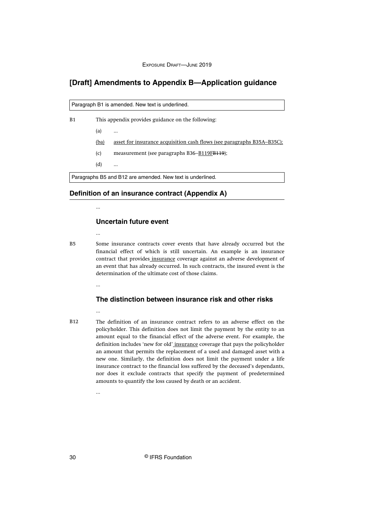## <span id="page-30-0"></span>**[Draft] Amendments to Appendix B—Application guidance**

Paragraph B1 is amended. New text is underlined.

B1

This appendix provides guidance on the following:

 $(a)$  ...

(ba) asset for insurance acquisition cash flows (see paragraphs B35A–B35C);

(c) measurement (see paragraphs B36- $B119FB119$ );

(d) ...

Paragraphs B5 and B12 are amended. New text is underlined.

**Definition of an insurance contract (Appendix A)**

...

...

## **Uncertain future event**

**B5** 

Some insurance contracts cover events that have already occurred but the financial effect of which is still uncertain. An example is an insurance contract that provides insurance coverage against an adverse development of an event that has already occurred. In such contracts, the insured event is the determination of the ultimate cost of those claims.

...

## **The distinction between insurance risk and other risks**

B12

The definition of an insurance contract refers to an adverse effect on the policyholder. This definition does not limit the payment by the entity to an amount equal to the financial effect of the adverse event. For example, the definition includes 'new for old' insurance coverage that pays the policyholder an amount that permits the replacement of a used and damaged asset with a new one. Similarly, the definition does not limit the payment under a life insurance contract to the financial loss suffered by the deceased's dependants, nor does it exclude contracts that specify the payment of predetermined amounts to quantify the loss caused by death or an accident.

30 © IFRS Foundation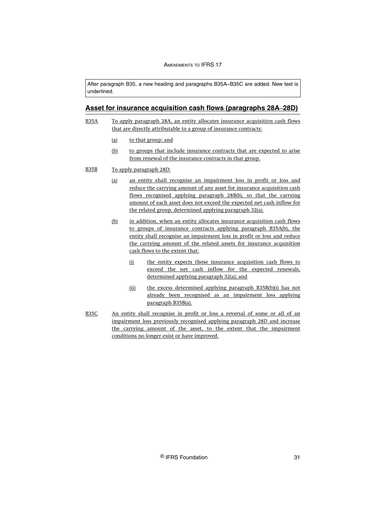After paragraph B35, a new heading and paragraphs B35A–B35C are added. New text is underlined.

## **Asset for insurance acquisition cash flows (paragraphs 28A‒28D)**

- To apply paragraph 28A, an entity allocates insurance acquisition cash flows that are directly attributable to a group of insurance contracts: B35A
	- (a) to that group; and
	- (b) to groups that include insurance contracts that are expected to arise from renewal of the insurance contracts in that group.
- To apply paragraph 28D: B35B
	- (a) an entity shall recognise an impairment loss in profit or loss and reduce the carrying amount of any asset for insurance acquisition cash flows recognised applying paragraph 28B(b), so that the carrying amount of each asset does not exceed the expected net cash inflow for the related group, determined applying paragraph 32(a).
	- (b) in addition, when an entity allocates insurance acquisition cash flows to groups of insurance contracts applying paragraph B35A(b), the entity shall recognise an impairment loss in profit or loss and reduce the carrying amount of the related assets for insurance acquisition cash flows to the extent that:
		- (i) the entity expects those insurance acquisition cash flows to exceed the net cash inflow for the expected renewals, determined applying paragraph 32(a); and
		- (ii) the excess determined applying paragraph B35B(b)(i) has not already been recognised as an impairment loss applying paragraph B35B(a).
- An entity shall recognise in profit or loss a reversal of some or all of an impairment loss previously recognised applying paragraph 28D and increase the carrying amount of the asset, to the extent that the impairment conditions no longer exist or have improved. B35C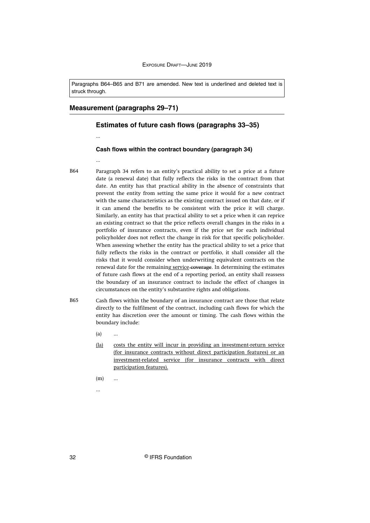Paragraphs B64–B65 and B71 are amended. New text is underlined and deleted text is struck through.

#### **Measurement (paragraphs 29–71)**

#### **Estimates of future cash flows (paragraphs 33–35)**

#### **Cash flows within the contract boundary (paragraph 34)**

...

...

- Paragraph 34 refers to an entity's practical ability to set a price at a future date (a renewal date) that fully reflects the risks in the contract from that date. An entity has that practical ability in the absence of constraints that prevent the entity from setting the same price it would for a new contract with the same characteristics as the existing contract issued on that date, or if it can amend the benefits to be consistent with the price it will charge. Similarly, an entity has that practical ability to set a price when it can reprice an existing contract so that the price reflects overall changes in the risks in a portfolio of insurance contracts, even if the price set for each individual policyholder does not reflect the change in risk for that specific policyholder. When assessing whether the entity has the practical ability to set a price that fully reflects the risks in the contract or portfolio, it shall consider all the risks that it would consider when underwriting equivalent contracts on the renewal date for the remaining service-coverage. In determining the estimates of future cash flows at the end of a reporting period, an entity shall reassess the boundary of an insurance contract to include the effect of changes in circumstances on the entity's substantive rights and obligations. B64
- Cash flows within the boundary of an insurance contract are those that relate directly to the fulfilment of the contract, including cash flows for which the entity has discretion over the amount or timing. The cash flows within the boundary include: B65
	- (a) ...
	- (la) costs the entity will incur in providing an investment-return service (for insurance contracts without direct participation features) or an investment-related service (for insurance contracts with direct participation features).
	- $(m)$  ...

...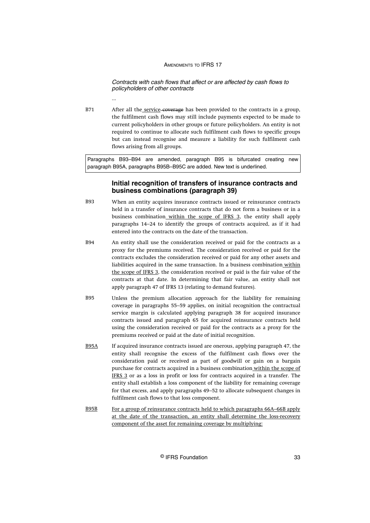Contracts with cash flows that affect or are affected by cash flows to policyholders of other contracts

...

After all the service-coverage has been provided to the contracts in a group, the fulfilment cash flows may still include payments expected to be made to current policyholders in other groups or future policyholders. An entity is not required to continue to allocate such fulfilment cash flows to specific groups but can instead recognise and measure a liability for such fulfilment cash flows arising from all groups. B71

Paragraphs B93–B94 are amended, paragraph B95 is bifurcated creating new paragraph B95A, paragraphs B95B–B95C are added. New text is underlined.

## **Initial recognition of transfers of insurance contracts and business combinations (paragraph 39)**

- When an entity acquires insurance contracts issued or reinsurance contracts held in a transfer of insurance contracts that do not form a business or in a business combination within the scope of IFRS 3, the entity shall apply paragraphs 14–24 to identify the groups of contracts acquired, as if it had entered into the contracts on the date of the transaction. B93
- An entity shall use the consideration received or paid for the contracts as a proxy for the premiums received. The consideration received or paid for the contracts excludes the consideration received or paid for any other assets and liabilities acquired in the same transaction. In a business combination within the scope of IFRS 3, the consideration received or paid is the fair value of the contracts at that date. In determining that fair value, an entity shall not apply paragraph 47 of IFRS 13 (relating to demand features). R<sub>94</sub>
- Unless the premium allocation approach for the liability for remaining coverage in paragraphs 55–59 applies, on initial recognition the contractual service margin is calculated applying paragraph 38 for acquired insurance contracts issued and paragraph 65 for acquired reinsurance contracts held using the consideration received or paid for the contracts as a proxy for the premiums received or paid at the date of initial recognition. B95
- If acquired insurance contracts issued are onerous, applying paragraph 47, the entity shall recognise the excess of the fulfilment cash flows over the consideration paid or received as part of goodwill or gain on a bargain purchase for contracts acquired in a business combination within the scope of IFRS 3 or as a loss in profit or loss for contracts acquired in a transfer. The entity shall establish a loss component of the liability for remaining coverage for that excess, and apply paragraphs 49–52 to allocate subsequent changes in fulfilment cash flows to that loss component. B95A
- For a group of reinsurance contracts held to which paragraphs 66A–66B apply at the date of the transaction, an entity shall determine the loss-recovery component of the asset for remaining coverage by multiplying: B95B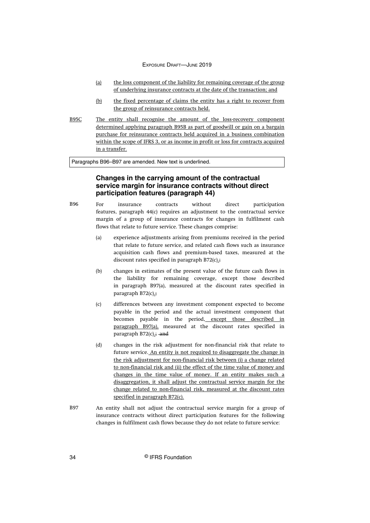- (a) the loss component of the liability for remaining coverage of the group of underlying insurance contracts at the date of the transaction; and
- (b) the fixed percentage of claims the entity has a right to recover from the group of reinsurance contracts held.
- The entity shall recognise the amount of the loss-recovery component determined applying paragraph B95B as part of goodwill or gain on a bargain purchase for reinsurance contracts held acquired in a business combination within the scope of IFRS 3, or as income in profit or loss for contracts acquired in a transfer. B95C

Paragraphs B96–B97 are amended. New text is underlined.

## **Changes in the carrying amount of the contractual service margin for insurance contracts without direct participation features (paragraph 44)**

- For insurance contracts without direct participation features, paragraph 44(c) requires an adjustment to the contractual service margin of a group of insurance contracts for changes in fulfilment cash flows that relate to future service. These changes comprise: B96
	- (a) experience adjustments arising from premiums received in the period that relate to future service, and related cash flows such as insurance acquisition cash flows and premium-based taxes, measured at the discount rates specified in paragraph  $B72(c)$ .;
	- (b) changes in estimates of the present value of the future cash flows in the liability for remaining coverage, except those described in paragraph B97(a), measured at the discount rates specified in paragraph B72(c).;
	- (c) differences between any investment component expected to become payable in the period and the actual investment component that becomes payable in the period, except those described in paragraph B97(a), measured at the discount rates specified in paragraph  $B72(c)$ : and
	- (d) changes in the risk adjustment for non-financial risk that relate to future service. An entity is not required to disaggregate the change in the risk adjustment for non-financial risk between (i) a change related to non-financial risk and (ii) the effect of the time value of money and changes in the time value of money. If an entity makes such a disaggregation, it shall adjust the contractual service margin for the change related to non-financial risk, measured at the discount rates specified in paragraph B72(c).
- An entity shall not adjust the contractual service margin for a group of insurance contracts without direct participation features for the following changes in fulfilment cash flows because they do not relate to future service: B97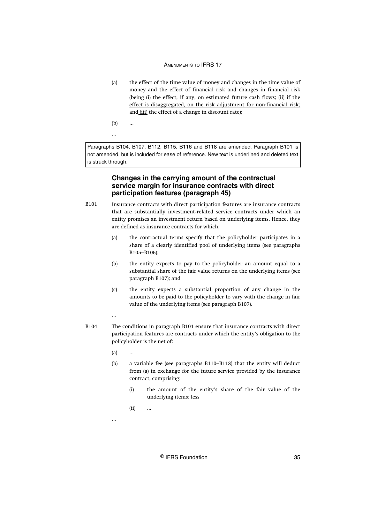- (a) the effect of the time value of money and changes in the time value of money and the effect of financial risk and changes in financial risk (being (i) the effect, if any, on estimated future cash flows; (ii) if the effect is disaggregated, on the risk adjustment for non-financial risk; and (iii) the effect of a change in discount rate);
- $(b)$

...

Paragraphs B104, B107, B112, B115, B116 and B118 are amended. Paragraph B101 is not amended, but is included for ease of reference. New text is underlined and deleted text is struck through.

## **Changes in the carrying amount of the contractual service margin for insurance contracts with direct participation features (paragraph 45)**

- Insurance contracts with direct participation features are insurance contracts that are substantially investment‑related service contracts under which an entity promises an investment return based on underlying items. Hence, they are defined as insurance contracts for which: B101
	- (a) the contractual terms specify that the policyholder participates in a share of a clearly identified pool of underlying items (see paragraphs B105–B106);
	- (b) the entity expects to pay to the policyholder an amount equal to a substantial share of the fair value returns on the underlying items (see paragraph B107); and
	- (c) the entity expects a substantial proportion of any change in the amounts to be paid to the policyholder to vary with the change in fair value of the underlying items (see paragraph B107).

## ...

- The conditions in paragraph B101 ensure that insurance contracts with direct participation features are contracts under which the entity's obligation to the policyholder is the net of: B104
	- $(a)$  ...
	- (b) a variable fee (see paragraphs B110–B118) that the entity will deduct from (a) in exchange for the future service provided by the insurance contract, comprising:
		- (i) the amount of the entity's share of the fair value of the underlying items; less
		- (ii) ...

...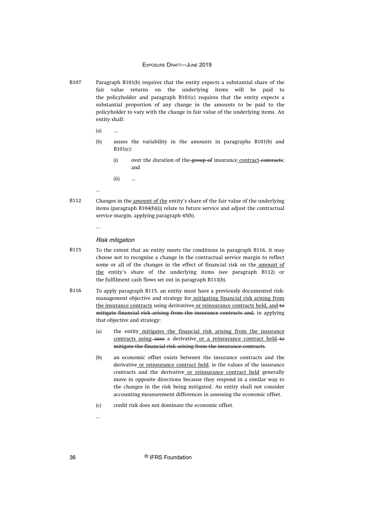- Paragraph B101(b) requires that the entity expects a substantial share of the fair value returns on the underlying items will be paid to the policyholder and paragraph B101(c) requires that the entity expects a substantial proportion of any change in the amounts to be paid to the policyholder to vary with the change in fair value of the underlying items. An entity shall: B107
	- (a) ...

...

...

- (b) assess the variability in the amounts in paragraphs B101(b) and B101(c):
	- (i) over the duration of the group of insurance contract-contracts; and
	- (ii) ...
- Changes in the amount of the entity's share of the fair value of the underlying items (paragraph B104(b)(i)) relate to future service and adjust the contractual service margin, applying paragraph 45(b). B112

#### Risk mitigation

- To the extent that an entity meets the conditions in paragraph B116, it may choose not to recognise a change in the contractual service margin to reflect some or all of the changes in the effect of financial risk on the amount of the entity's share of the underlying items (see paragraph B112) or the fulfilment cash flows set out in paragraph B113(b). B115
- To apply paragraph B115, an entity must have a previously documented riskmanagement objective and strategy for mitigating financial risk arising from the insurance contracts using derivatives or reinsurance contracts held, and to mitigate financial risk arising from the insurance contracts and, in applying that objective and strategy: B116
	- (a) the entity mitigates the financial risk arising from the insurance contracts using–uses a derivative or a reinsurance contract held–to mitigate the financial risk arising from the insurance contracts.
	- (b) an economic offset exists between the insurance contracts and the derivative or reinsurance contract held, ie the values of the insurance contracts and the derivative or reinsurance contract held generally move in opposite directions because they respond in a similar way to the changes in the risk being mitigated. An entity shall not consider accounting measurement differences in assessing the economic offset.
	- (c) credit risk does not dominate the economic offset.

...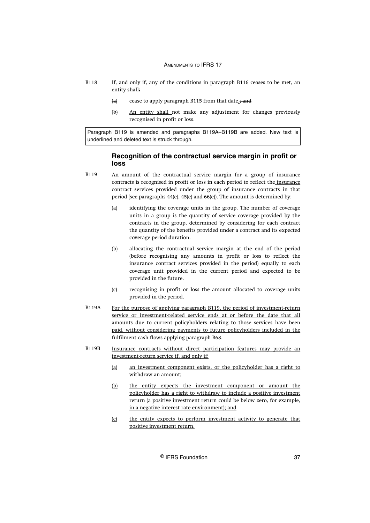- If, and only if, any of the conditions in paragraph B116 ceases to be met, an entity shall: B118
	- (a) cease to apply paragraph B115 from that date.; and
	- (b) An entity shall not make any adjustment for changes previously recognised in profit or loss.

Paragraph B119 is amended and paragraphs B119A–B119B are added. New text is underlined and deleted text is struck through.

## **Recognition of the contractual service margin in profit or loss**

- An amount of the contractual service margin for a group of insurance contracts is recognised in profit or loss in each period to reflect the insurance contract services provided under the group of insurance contracts in that period (see paragraphs 44(e), 45(e) and 66(e)). The amount is determined by: B119
	- (a) identifying the coverage units in the group. The number of coverage units in a group is the quantity of service coverage provided by the contracts in the group, determined by considering for each contract the quantity of the benefits provided under a contract and its expected coverage period duration.
	- (b) allocating the contractual service margin at the end of the period (before recognising any amounts in profit or loss to reflect the insurance contract services provided in the period) equally to each coverage unit provided in the current period and expected to be provided in the future.
	- (c) recognising in profit or loss the amount allocated to coverage units provided in the period.
- For the purpose of applying paragraph B119, the period of investment-return service or investment-related service ends at or before the date that all amounts due to current policyholders relating to those services have been paid, without considering payments to future policyholders included in the fulfilment cash flows applying paragraph B68. B119A
- Insurance contracts without direct participation features may provide an investment-return service if, and only if: B119B
	- (a) an investment component exists, or the policyholder has a right to withdraw an amount;
	- (b) the entity expects the investment component or amount the policyholder has a right to withdraw to include a positive investment return (a positive investment return could be below zero, for example, in a negative interest rate environment); and
	- (c) the entity expects to perform investment activity to generate that positive investment return.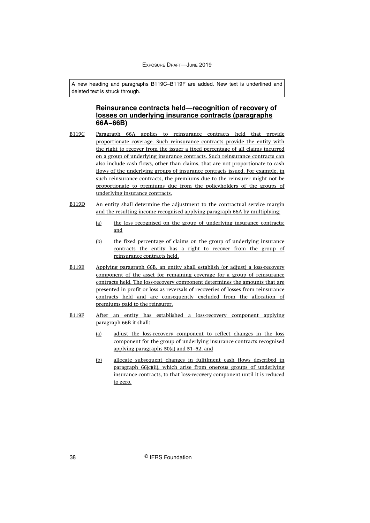A new heading and paragraphs B119C–B119F are added. New text is underlined and deleted text is struck through.

## **Reinsurance contracts held—recognition of recovery of losses on underlying insurance contracts (paragraphs 66A−66B)**

- Paragraph 66A applies to reinsurance contracts held that provide proportionate coverage. Such reinsurance contracts provide the entity with the right to recover from the issuer a fixed percentage of all claims incurred on a group of underlying insurance contracts. Such reinsurance contracts can also include cash flows, other than claims, that are not proportionate to cash flows of the underlying groups of insurance contracts issued. For example, in such reinsurance contracts, the premiums due to the reinsurer might not be proportionate to premiums due from the policyholders of the groups of underlying insurance contracts. B119C
- An entity shall determine the adjustment to the contractual service margin and the resulting income recognised applying paragraph 66A by multiplying: B119D
	- (a) the loss recognised on the group of underlying insurance contracts; and
	- (b) the fixed percentage of claims on the group of underlying insurance contracts the entity has a right to recover from the group of reinsurance contracts held.
- Applying paragraph 66B, an entity shall establish (or adjust) a loss-recovery component of the asset for remaining coverage for a group of reinsurance contracts held. The loss-recovery component determines the amounts that are presented in profit or loss as reversals of recoveries of losses from reinsurance contracts held and are consequently excluded from the allocation of premiums paid to the reinsurer. B119E
- After an entity has established a loss-recovery component applying paragraph 66B it shall: B119F
	- (a) adjust the loss-recovery component to reflect changes in the loss component for the group of underlying insurance contracts recognised applying paragraphs 50(a) and 51–52; and
	- (b) allocate subsequent changes in fulfilment cash flows described in paragraph 66(c)(ii), which arise from onerous groups of underlying insurance contracts, to that loss-recovery component until it is reduced to zero.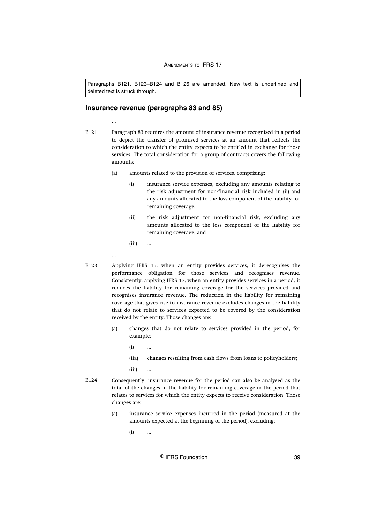Paragraphs B121, B123–B124 and B126 are amended. New text is underlined and deleted text is struck through.

#### **Insurance revenue (paragraphs 83 and 85)**

Paragraph 83 requires the amount of insurance revenue recognised in a period to depict the transfer of promised services at an amount that reflects the consideration to which the entity expects to be entitled in exchange for those services. The total consideration for a group of contracts covers the following amounts: B121

- (a) amounts related to the provision of services, comprising:
	- (i) insurance service expenses, excluding any amounts relating to the risk adjustment for non-financial risk included in (ii) and any amounts allocated to the loss component of the liability for remaining coverage;
	- (ii) the risk adjustment for non-financial risk, excluding any amounts allocated to the loss component of the liability for remaining coverage; and

 $(iii)$ 

...

...

- Applying IFRS 15, when an entity provides services, it derecognises the performance obligation for those services and recognises revenue. Consistently, applying IFRS 17, when an entity provides services in a period, it reduces the liability for remaining coverage for the services provided and recognises insurance revenue. The reduction in the liability for remaining coverage that gives rise to insurance revenue excludes changes in the liability that do not relate to services expected to be covered by the consideration received by the entity. Those changes are: B123
	- (a) changes that do not relate to services provided in the period, for example:
		- $(i)$
		- (iia) changes resulting from cash flows from loans to policyholders;
		- (iii) ...
- Consequently, insurance revenue for the period can also be analysed as the total of the changes in the liability for remaining coverage in the period that relates to services for which the entity expects to receive consideration. Those changes are: B124
	- (a) insurance service expenses incurred in the period (measured at the amounts expected at the beginning of the period), excluding:
		- $(i)$  ...

© IFRS Foundation 39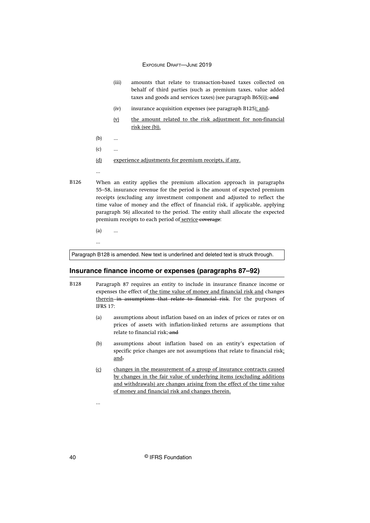- (iii) amounts that relate to transaction-based taxes collected on behalf of third parties (such as premium taxes, value added taxes and goods and services taxes) (see paragraph B65(i)); and
- (iv) insurance acquisition expenses (see paragraph B125); and-
- (v) the amount related to the risk adjustment for non-financial risk (see (b)).
- (b) ...
- $(c)$  ...
- (d) experience adjustments for premium receipts, if any.

...

When an entity applies the premium allocation approach in paragraphs 55–58, insurance revenue for the period is the amount of expected premium receipts (excluding any investment component and adjusted to reflect the time value of money and the effect of financial risk, if applicable, applying paragraph 56) allocated to the period. The entity shall allocate the expected premium receipts to each period of service coverage: B126

(a) ...

...

...

Paragraph B128 is amended. New text is underlined and deleted text is struck through.

## **Insurance finance income or expenses (paragraphs 87–92)**

- Paragraph 87 requires an entity to include in insurance finance income or expenses the effect of the time value of money and financial risk and changes therein in assumptions that relate to financial risk. For the purposes of IFRS 17: B128
	- (a) assumptions about inflation based on an index of prices or rates or on prices of assets with inflation-linked returns are assumptions that relate to financial risk; and
	- (b) assumptions about inflation based on an entity's expectation of specific price changes are not assumptions that relate to financial risk; and.
	- (c) changes in the measurement of a group of insurance contracts caused by changes in the fair value of underlying items (excluding additions and withdrawals) are changes arising from the effect of the time value of money and financial risk and changes therein.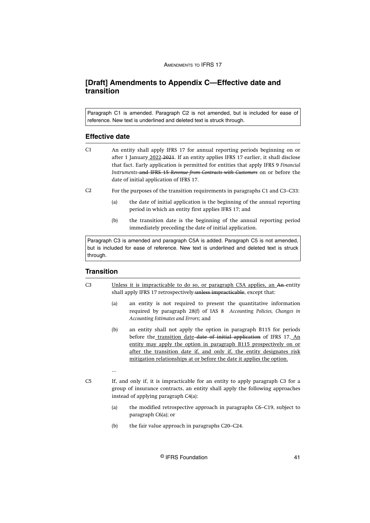## <span id="page-41-0"></span>**[Draft] Amendments to Appendix C—Effective date and transition**

Paragraph C1 is amended. Paragraph C2 is not amended, but is included for ease of reference. New text is underlined and deleted text is struck through.

#### **Effective date**

- An entity shall apply IFRS 17 for annual reporting periods beginning on or after 1 January 2022 2021. If an entity applies IFRS 17 earlier, it shall disclose that fact. Early application is permitted for entities that apply IFRS 9 *Financial Instruments* and IFRS 15 *Revenue from Contracts with Customers* on or before the date of initial application of IFRS 17.  $C<sub>1</sub>$
- For the purposes of the transition requirements in paragraphs C1 and C3–C33:  $C<sub>2</sub>$ 
	- (a) the date of initial application is the beginning of the annual reporting period in which an entity first applies IFRS 17; and
	- (b) the transition date is the beginning of the annual reporting period immediately preceding the date of initial application.

Paragraph C3 is amended and paragraph C5A is added. Paragraph C5 is not amended, but is included for ease of reference. New text is underlined and deleted text is struck through.

## **Transition**

- Unless it is impracticable to do so, or paragraph C5A applies, an An entity shall apply IFRS 17 retrospectively unless impracticable, except that:  $C<sub>3</sub>$ 
	- (a) an entity is not required to present the quantitative information required by paragraph 28(f) of IAS 8 *Accounting Policies, Changes in Accounting Estimates and Errors*; and
	- (b) an entity shall not apply the option in paragraph B115 for periods before the transition date date of initial application of IFRS 17. An entity may apply the option in paragraph B115 prospectively on or after the transition date if, and only if, the entity designates risk mitigation relationships at or before the date it applies the option.
	-

 $C<sub>5</sub>$ 

...

- If, and only if, it is impracticable for an entity to apply paragraph C3 for a group of insurance contracts, an entity shall apply the following approaches instead of applying paragraph C4(a):
	- (a) the modified retrospective approach in paragraphs C6–C19, subject to paragraph C6(a); or
	- (b) the fair value approach in paragraphs C20–C24.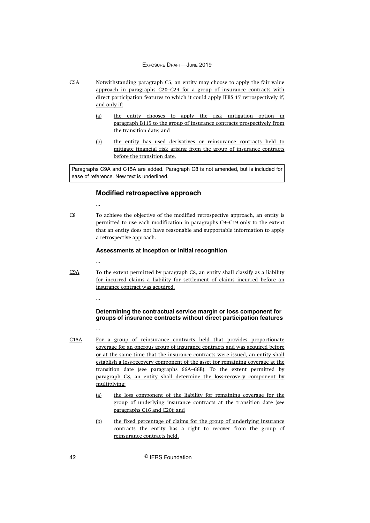- Notwithstanding paragraph C5, an entity may choose to apply the fair value approach in paragraphs C20–C24 for a group of insurance contracts with direct participation features to which it could apply IFRS 17 retrospectively if, and only if: C5A
	- (a) the entity chooses to apply the risk mitigation option in paragraph B115 to the group of insurance contracts prospectively from the transition date; and
	- (b) the entity has used derivatives or reinsurance contracts held to mitigate financial risk arising from the group of insurance contracts before the transition date.

Paragraphs C9A and C15A are added. Paragraph C8 is not amended, but is included for ease of reference. New text is underlined.

## **Modified retrospective approach**

To achieve the objective of the modified retrospective approach, an entity is permitted to use each modification in paragraphs C9–C19 only to the extent that an entity does not have reasonable and supportable information to apply a retrospective approach. C8

#### **Assessments at inception or initial recognition**

...

...

To the extent permitted by paragraph C8, an entity shall classify as a liability for incurred claims a liability for settlement of claims incurred before an insurance contract was acquired. C9A

...

## **Determining the contractual service margin or loss component for groups of insurance contracts without direct participation features**

- ...
- For a group of reinsurance contracts held that provides proportionate coverage for an onerous group of insurance contracts and was acquired before or at the same time that the insurance contracts were issued, an entity shall establish a loss-recovery component of the asset for remaining coverage at the transition date (see paragraphs 66A–66B). To the extent permitted by paragraph C8, an entity shall determine the loss-recovery component by multiplying: C15A
	- (a) the loss component of the liability for remaining coverage for the group of underlying insurance contracts at the transition date (see paragraphs C16 and C20); and
	- (b) the fixed percentage of claims for the group of underlying insurance contracts the entity has a right to recover from the group of reinsurance contracts held.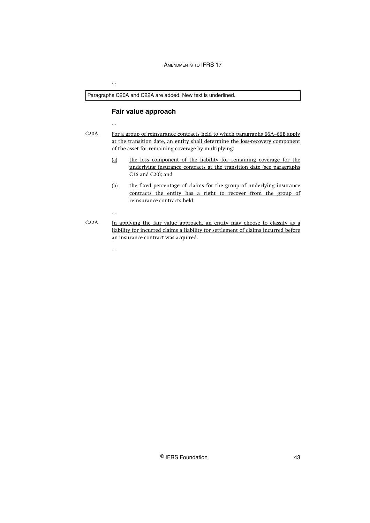Paragraphs C20A and C22A are added. New text is underlined.

## **Fair value approach**

...

...

...

...

For a group of reinsurance contracts held to which paragraphs 66A–66B apply at the transition date, an entity shall determine the loss-recovery component of the asset for remaining coverage by multiplying: C20A

- (a) the loss component of the liability for remaining coverage for the underlying insurance contracts at the transition date (see paragraphs C16 and C20); and
- (b) the fixed percentage of claims for the group of underlying insurance contracts the entity has a right to recover from the group of reinsurance contracts held.
- In applying the fair value approach, an entity may choose to classify as a liability for incurred claims a liability for settlement of claims incurred before an insurance contract was acquired. C22A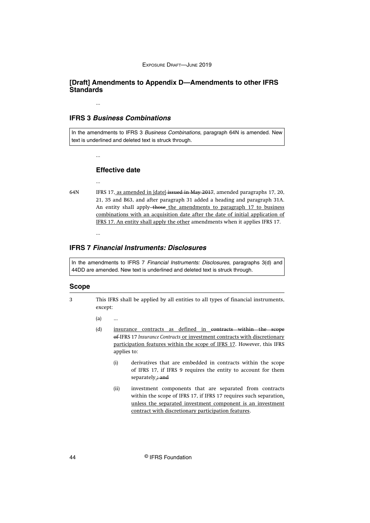## <span id="page-44-0"></span>**[Draft] Amendments to Appendix D—Amendments to other IFRS Standards**

## **IFRS 3 Business Combinations**

...

...

...

...

In the amendments to IFRS 3 Business Combinations, paragraph 64N is amended. New text is underlined and deleted text is struck through.

#### **Effective date**

- 64N
	- IFRS 17, as amended in [date] issued in May 2017, amended paragraphs 17, 20, 21, 35 and B63, and after paragraph 31 added a heading and paragraph 31A. An entity shall apply-those the amendments to paragraph 17 to business combinations with an acquisition date after the date of initial application of IFRS 17. An entity shall apply the other amendments when it applies IFRS 17.

## **IFRS 7 Financial Instruments: Disclosures**

In the amendments to IFRS 7 Financial Instruments: Disclosures, paragraphs 3(d) and 44DD are amended. New text is underlined and deleted text is struck through.

#### **Scope**

3

This IFRS shall be applied by all entities to all types of financial instruments, except:

 $(a)$  ...

- (d) insurance contracts as defined in contracts within the scope of IFRS 17 *Insurance Contracts* or investment contracts with discretionary participation features within the scope of IFRS 17. However, this IFRS applies to:
	- (i) derivatives that are embedded in contracts within the scope of IFRS 17, if IFRS 9 requires the entity to account for them separately.; and
	- (ii) investment components that are separated from contracts within the scope of IFRS 17, if IFRS 17 requires such separation, unless the separated investment component is an investment contract with discretionary participation features.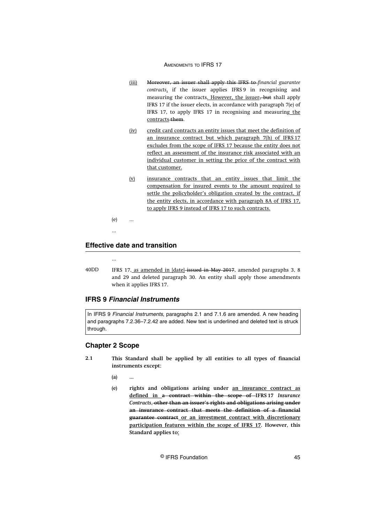- (iii) Moreover, an issuer shall apply this IFRS to *financial guarantee contracts*, if the issuer applies IFRS 9 in recognising and measuring the contracts. However, the issuer, but shall apply IFRS 17 if the issuer elects, in accordance with paragraph 7(e) of IFRS 17, to apply IFRS 17 in recognising and measuring the contracts them.
- (iv) credit card contracts an entity issues that meet the definition of an insurance contract but which paragraph 7(h) of IFRS 17 excludes from the scope of IFRS 17 because the entity does not reflect an assessment of the insurance risk associated with an individual customer in setting the price of the contract with that customer.
- (v) insurance contracts that an entity issues that limit the compensation for insured events to the amount required to settle the policyholder's obligation created by the contract, if the entity elects, in accordance with paragraph 8A of IFRS 17, to apply IFRS 9 instead of IFRS 17 to such contracts.
- (e) ...
- 

## **Effective date and transition**

...

IFRS 17, as amended in [date] issued in May 2017, amended paragraphs 3, 8 and 29 and deleted paragraph 30. An entity shall apply those amendments when it applies IFRS 17. 40DD

## **IFRS 9 Financial Instruments**

In IFRS 9 Financial Instruments, paragraphs 2.1 and 7.1.6 are amended. A new heading and paragraphs 7.2.36–7.2.42 are added. New text is underlined and deleted text is struck through.

## **Chapter 2 Scope**

- **This Standard shall be applied by all entities to all types of financial instruments except: 2.1**
	- **(a) ...**
	- **(e) rights and obligations arising under an insurance contract as defined in a contract within the scope of IFRS 17** *Insurance Contracts***, other than an issuer's rights and obligations arising under an insurance contract that meets the definition of a financial guarantee contract or an investment contract with discretionary participation features within the scope of IFRS 17. However, this Standard applies to:**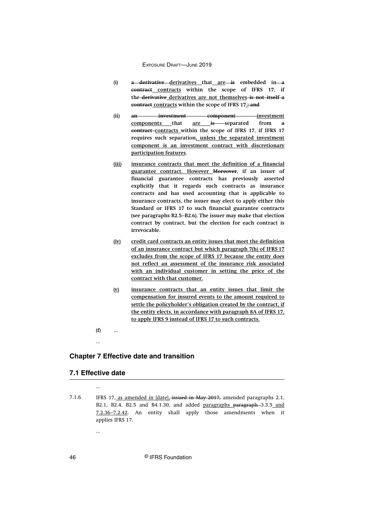- (i) **a** derivative derivatives that are is embedded in a **contract contracts within the scope of IFRS 17, if the derivative derivatives are not themselves is not itself a contract contracts within the scope of IFRS 17.; and**
- **(ii) an investment component investment** components that are is separated from a **contract contracts within the scope of IFRS 17, if IFRS 17 requires such separation, unless the separated investment component is an investment contract with discretionary participation features.**
- **(iii) insurance contracts that meet the definition of a financial guarantee contract. However Moreover, if an issuer of financial guarantee contracts has previously asserted explicitly that it regards such contracts as insurance contracts and has used accounting that is applicable to insurance contracts, the issuer may elect to apply either this Standard or IFRS 17 to such financial guarantee contracts (see paragraphs B2.5–B2.6). The issuer may make that election contract by contract, but the election for each contract is irrevocable.**
- **(iv) credit card contracts an entity issues that meet the definition of an insurance contract but which paragraph 7(h) of IFRS 17 excludes from the scope of IFRS 17 because the entity does not reflect an assessment of the insurance risk associated with an individual customer in setting the price of the contract with that customer.**
- **(v) insurance contracts that an entity issues that limit the compensation for insured events to the amount required to settle the policyholder's obligation created by the contract, if the entity elects, in accordance with paragraph 8A of IFRS 17, to apply IFRS 9 instead of IFRS 17 to such contracts.**

**(f) ...**

## **Chapter 7 Effective date and transition**

#### **7.1 Effective date**

...

...

...

IFRS 17, as amended in [date], issued in May 2017, amended paragraphs 2.1, B2.1, B2.4, B2.5 and B4.1.30, and added paragraphs paragraph 3.3.5 and 7.2.36–7.2.42. An entity shall apply those amendments when it applies IFRS 17. 7.1.6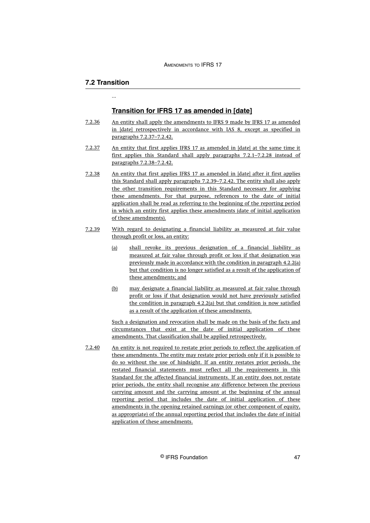## **7.2 Transition**

...

#### **Transition for IFRS 17 as amended in [date]**

- An entity shall apply the amendments to IFRS 9 made by IFRS 17 as amended in [date] retrospectively in accordance with IAS 8, except as specified in paragraphs 7.2.37–7.2.42. 7.2.36
- An entity that first applies IFRS 17 as amended in [date] at the same time it first applies this Standard shall apply paragraphs 7.2.1–7.2.28 instead of paragraphs 7.2.38–7.2.42. 7.2.37
- An entity that first applies IFRS 17 as amended in [date] after it first applies this Standard shall apply paragraphs 7.2.39–7.2.42. The entity shall also apply the other transition requirements in this Standard necessary for applying these amendments. For that purpose, references to the date of initial application shall be read as referring to the beginning of the reporting period in which an entity first applies these amendments (date of initial application of these amendments). 7.2.38
- With regard to designating a financial liability as measured at fair value through profit or loss, an entity: 7.2.39
	- (a) shall revoke its previous designation of a financial liability as measured at fair value through profit or loss if that designation was previously made in accordance with the condition in paragraph 4.2.2(a) but that condition is no longer satisfied as a result of the application of these amendments; and
	- (b) may designate a financial liability as measured at fair value through profit or loss if that designation would not have previously satisfied the condition in paragraph 4.2.2(a) but that condition is now satisfied as a result of the application of these amendments.

Such a designation and revocation shall be made on the basis of the facts and circumstances that exist at the date of initial application of these amendments. That classification shall be applied retrospectively.

An entity is not required to restate prior periods to reflect the application of these amendments. The entity may restate prior periods only if it is possible to do so without the use of hindsight. If an entity restates prior periods, the restated financial statements must reflect all the requirements in this Standard for the affected financial instruments. If an entity does not restate prior periods, the entity shall recognise any difference between the previous carrying amount and the carrying amount at the beginning of the annual reporting period that includes the date of initial application of these amendments in the opening retained earnings (or other component of equity, as appropriate) of the annual reporting period that includes the date of initial application of these amendments. 7.2.40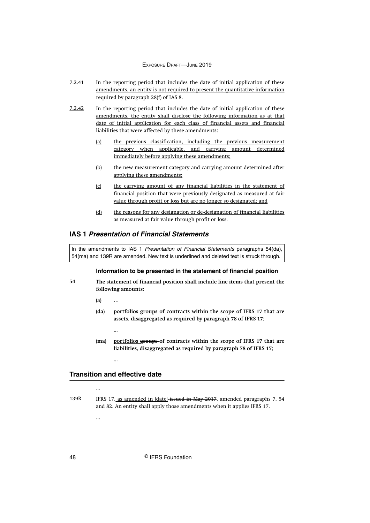- In the reporting period that includes the date of initial application of these amendments, an entity is not required to present the quantitative information required by paragraph 28(f) of IAS 8. 7.2.41
- In the reporting period that includes the date of initial application of these amendments, the entity shall disclose the following information as at that date of initial application for each class of financial assets and financial liabilities that were affected by these amendments: 7.2.42
	- (a) the previous classification, including the previous measurement category when applicable, and carrying amount determined immediately before applying these amendments;
	- (b) the new measurement category and carrying amount determined after applying these amendments;
	- (c) the carrying amount of any financial liabilities in the statement of financial position that were previously designated as measured at fair value through profit or loss but are no longer so designated; and
	- (d) the reasons for any designation or de-designation of financial liabilities as measured at fair value through profit or loss.

## **IAS 1 Presentation of Financial Statements**

In the amendments to IAS 1 Presentation of Financial Statements paragraphs 54(da), 54(ma) and 139R are amended. New text is underlined and deleted text is struck through.

#### **Information to be presented in the statement of financial position**

- **The statement of financial position shall include line items that present the following amounts: 54**
	- **(a) …**
	- **(da) portfolios groups of contracts within the scope of IFRS 17 that are assets, disaggregated as required by paragraph 78 of IFRS 17;**
		- **...**
	- **(ma) portfolios groups of contracts within the scope of IFRS 17 that are liabilities, disaggregated as required by paragraph 78 of IFRS 17;**

### **Transition and effective date**

...

...

IFRS 17, as amended in [date] issued in May 2017, amended paragraphs 7, 54 and 82. An entity shall apply those amendments when it applies IFRS 17. 139R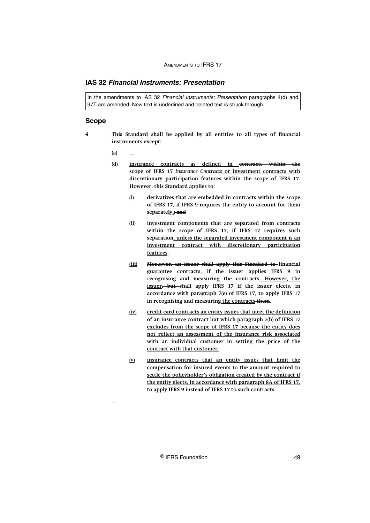## **IAS 32 Financial Instruments: Presentation**

In the amendments to IAS 32 Financial Instruments: Presentation paragraphs 4(d) and 97T are amended. New text is underlined and deleted text is struck through.

#### **Scope**

- **This Standard shall be applied by all entities to all types of financial instruments except: 4**
	- **(a) …**

...

- **(d) insurance contracts as defined in contracts within the scope of IFRS 17** *Insurance Contracts* **or investment contracts with discretionary participation features within the scope of IFRS 17. However, this Standard applies to:**
	- **(i) derivatives that are embedded in contracts within the scope of IFRS 17, if IFRS 9 requires the entity to account for them separately.; and**
	- **(ii) investment components that are separated from contracts within the scope of IFRS 17, if IFRS 17 requires such separation, unless the separated investment component is an investment contract with discretionary participation features.**
	- **(iii) Moreover, an issuer shall apply this Standard to financial guarantee contracts, if the issuer applies IFRS 9 in recognising and measuring the contracts. However, the issuer, but shall apply IFRS 17 if the issuer elects, in accordance with paragraph 7(e) of IFRS 17, to apply IFRS 17 in recognising and measuring the contracts them.**
	- **(iv) credit card contracts an entity issues that meet the definition of an insurance contract but which paragraph 7(h) of IFRS 17 excludes from the scope of IFRS 17 because the entity does not reflect an assessment of the insurance risk associated with an individual customer in setting the price of the contract with that customer.**
	- **(v) insurance contracts that an entity issues that limit the compensation for insured events to the amount required to settle the policyholder's obligation created by the contract if the entity elects, in accordance with paragraph 8A of IFRS 17, to apply IFRS 9 instead of IFRS 17 to such contracts.**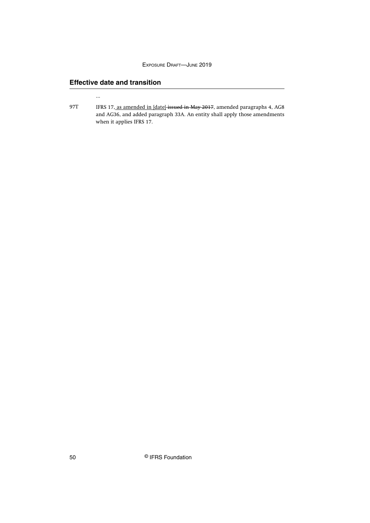## **Effective date and transition**

...

IFRS 17, as amended in [date]-issued in May 2017, amended paragraphs 4, AG8 and AG36, and added paragraph 33A. An entity shall apply those amendments when it applies IFRS 17. 97T

50 © IFRS Foundation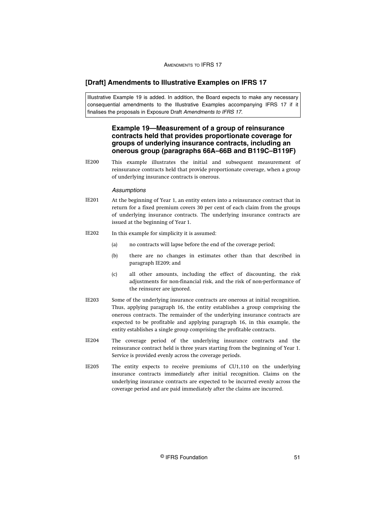## <span id="page-51-0"></span>**[Draft] Amendments to Illustrative Examples on IFRS 17**

Illustrative Example 19 is added. In addition, the Board expects to make any necessary consequential amendments to the Illustrative Examples accompanying IFRS 17 if it finalises the proposals in Exposure Draft Amendments to IFRS 17.

## **Example 19—Measurement of a group of reinsurance contracts held that provides proportionate coverage for groups of underlying insurance contracts, including an onerous group (paragraphs 66A–66B and B119C–B119F)**

This example illustrates the initial and subsequent measurement of reinsurance contracts held that provide proportionate coverage, when a group of underlying insurance contracts is onerous. IE200

#### **Assumptions**

- At the beginning of Year 1, an entity enters into a reinsurance contract that in return for a fixed premium covers 30 per cent of each claim from the groups of underlying insurance contracts. The underlying insurance contracts are issued at the beginning of Year 1. IE201
- In this example for simplicity it is assumed: IE202
	- (a) no contracts will lapse before the end of the coverage period;
	- (b) there are no changes in estimates other than that described in paragraph IE209; and
	- (c) all other amounts, including the effect of discounting, the risk adjustments for non-financial risk, and the risk of non-performance of the reinsurer are ignored.
- Some of the underlying insurance contracts are onerous at initial recognition. Thus, applying paragraph 16, the entity establishes a group comprising the onerous contracts. The remainder of the underlying insurance contracts are expected to be profitable and applying paragraph 16, in this example, the entity establishes a single group comprising the profitable contracts. IE203
- The coverage period of the underlying insurance contracts and the reinsurance contract held is three years starting from the beginning of Year 1. Service is provided evenly across the coverage periods. IE204
- The entity expects to receive premiums of CU1,110 on the underlying insurance contracts immediately after initial recognition. Claims on the underlying insurance contracts are expected to be incurred evenly across the coverage period and are paid immediately after the claims are incurred. IE205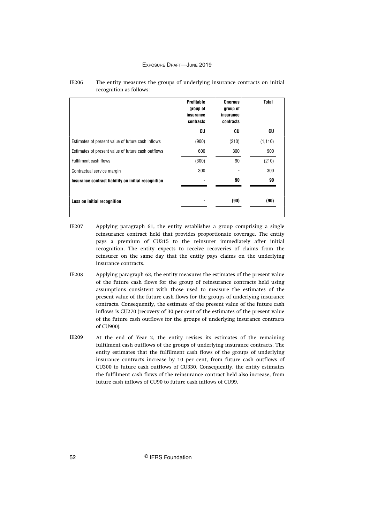|                                                     | <b>Profitable</b><br>group of<br>insurance<br>contracts | <b>Onerous</b><br>group of<br>insurance<br>contracts | <b>Total</b> |
|-----------------------------------------------------|---------------------------------------------------------|------------------------------------------------------|--------------|
|                                                     | CU                                                      | CU                                                   | CU           |
| Estimates of present value of future cash inflows   | (900)                                                   | (210)                                                | (1, 110)     |
| Estimates of present value of future cash outflows  | 600                                                     | 300                                                  | 900          |
| Fulfilment cash flows                               | (300)                                                   | 90                                                   | (210)        |
| Contractual service margin                          | 300                                                     |                                                      | 300          |
| Insurance contract liability on initial recognition |                                                         | 90                                                   | 90           |
| Loss on initial recognition                         |                                                         | (90)                                                 | (90)         |

#### The entity measures the groups of underlying insurance contracts on initial recognition as follows: IE206

Applying paragraph 61, the entity establishes a group comprising a single reinsurance contract held that provides proportionate coverage. The entity pays a premium of CU315 to the reinsurer immediately after initial recognition. The entity expects to receive recoveries of claims from the reinsurer on the same day that the entity pays claims on the underlying insurance contracts. IE207

- Applying paragraph 63, the entity measures the estimates of the present value of the future cash flows for the group of reinsurance contracts held using assumptions consistent with those used to measure the estimates of the present value of the future cash flows for the groups of underlying insurance contracts. Consequently, the estimate of the present value of the future cash inflows is CU270 (recovery of 30 per cent of the estimates of the present value of the future cash outflows for the groups of underlying insurance contracts of CU900). IE208
- At the end of Year 2, the entity revises its estimates of the remaining fulfilment cash outflows of the groups of underlying insurance contracts. The entity estimates that the fulfilment cash flows of the groups of underlying insurance contracts increase by 10 per cent, from future cash outflows of CU300 to future cash outflows of CU330. Consequently, the entity estimates the fulfilment cash flows of the reinsurance contract held also increase, from future cash inflows of CU90 to future cash inflows of CU99. IE209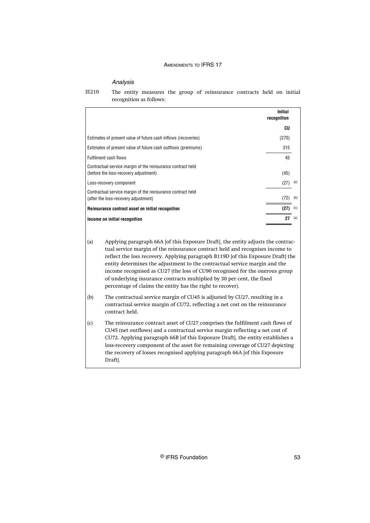#### Analysis

|                                                                                                      | Initial<br>recognition |     |
|------------------------------------------------------------------------------------------------------|------------------------|-----|
|                                                                                                      | CU                     |     |
| Estimates of present value of future cash inflows (recoveries)                                       | (270)                  |     |
| Estimates of present value of future cash outflows (premiums)                                        | 315                    |     |
| Fulfilment cash flows                                                                                | 45                     |     |
| Contractual service margin of the reinsurance contract held<br>(before the loss-recovery adjustment) | (45)                   |     |
| Loss-recovery component                                                                              | (27)                   | (a) |
| Contractual service margin of the reinsurance contract held<br>(after the loss-recovery adjustment)  | (72)                   | (b) |
| Reinsurance contract asset on initial recognition                                                    | (27)                   | (c) |
| Income on initial recognition                                                                        | 27                     | (a) |

The entity measures the group of reinsurance contracts held on initial recognition as follows: IE210

(a) Applying paragraph 66A [of this Exposure Draft], the entity adjusts the contractual service margin of the reinsurance contract held and recognises income to reflect the loss recovery. Applying paragraph B119D [of this Exposure Draft] the entity determines the adjustment to the contractual service margin and the income recognised as CU27 (the loss of CU90 recognised for the onerous group of underlying insurance contracts multiplied by 30 per cent, the fixed percentage of claims the entity has the right to recover).

(b) The contractual service margin of CU45 is adjusted by CU27, resulting in a contractual service margin of CU72, reflecting a net cost on the reinsurance contract held.

(c) The reinsurance contract asset of CU27 comprises the fulfilment cash flows of CU45 (net outflows) and a contractual service margin reflecting a net cost of CU72. Applying paragraph 66B [of this Exposure Draft], the entity establishes a loss-recovery component of the asset for remaining coverage of CU27 depicting the recovery of losses recognised applying paragraph 66A [of this Exposure Draft].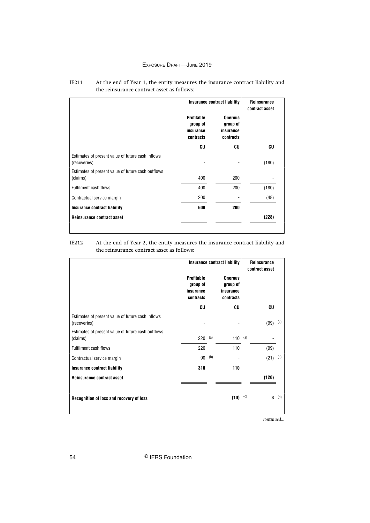|                                                                   | Insurance contract liability                     |                                                      | <b>Reinsurance</b><br>contract asset |
|-------------------------------------------------------------------|--------------------------------------------------|------------------------------------------------------|--------------------------------------|
|                                                                   | Profitable<br>group of<br>insurance<br>contracts | <b>Onerous</b><br>group of<br>insurance<br>contracts |                                      |
|                                                                   | CU                                               | CU                                                   | CU                                   |
| Estimates of present value of future cash inflows<br>(recoveries) |                                                  |                                                      | (180)                                |
| Estimates of present value of future cash outflows<br>(claims)    | 400                                              | 200                                                  |                                      |
| Fulfilment cash flows                                             | 400                                              | 200                                                  | (180)                                |
| Contractual service margin                                        | 200                                              |                                                      | (48)                                 |
| Insurance contract liability                                      | 600                                              | 200                                                  |                                      |
| Reinsurance contract asset                                        |                                                  |                                                      | (228)                                |

#### At the end of Year 1, the entity measures the insurance contract liability and the reinsurance contract asset as follows: IE211

At the end of Year 2, the entity measures the insurance contract liability and the reinsurance contract asset as follows: IE212

|                                                                   | <b>Insurance contract liability</b>                     |     |                                                      |     | Reinsurance<br>contract asset |         |
|-------------------------------------------------------------------|---------------------------------------------------------|-----|------------------------------------------------------|-----|-------------------------------|---------|
|                                                                   | <b>Profitable</b><br>group of<br>insurance<br>contracts |     | <b>Onerous</b><br>group of<br>insurance<br>contracts |     |                               |         |
|                                                                   | CU                                                      |     | CU                                                   |     | CU                            |         |
| Estimates of present value of future cash inflows<br>(recoveries) |                                                         |     |                                                      |     | (99)                          | (a)     |
| Estimates of present value of future cash outflows<br>(claims)    | 220                                                     | (a) | 110 (a)                                              |     |                               |         |
| <b>Fulfilment cash flows</b>                                      | 220                                                     |     | 110                                                  |     | (99)                          |         |
| Contractual service margin                                        | 90                                                      | (b) |                                                      |     | (21)                          | (e)     |
| <b>Insurance contract liability</b>                               | 310                                                     |     | 110                                                  |     |                               |         |
| Reinsurance contract asset                                        |                                                         |     |                                                      |     | (120)                         |         |
| Recognition of loss and recovery of loss                          |                                                         |     | (10)                                                 | (c) |                               | $3$ (d) |

*continued...*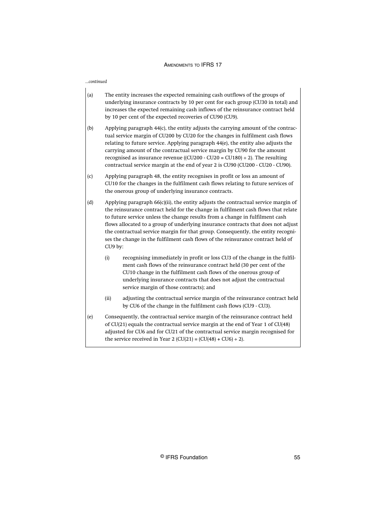*...continued*

- (a) The entity increases the expected remaining cash outflows of the groups of underlying insurance contracts by 10 per cent for each group (CU30 in total) and increases the expected remaining cash inflows of the reinsurance contract held by 10 per cent of the expected recoveries of CU90 (CU9).
- (b) Applying paragraph 44(c), the entity adjusts the carrying amount of the contractual service margin of CU200 by CU20 for the changes in fulfilment cash flows relating to future service. Applying paragraph 44(e), the entity also adjusts the carrying amount of the contractual service margin by CU90 for the amount recognised as insurance revenue ((CU200 - CU20 = CU180)  $\div$  2). The resulting contractual service margin at the end of year 2 is CU90 (CU200 - CU20 - CU90).
- (c) Applying paragraph 48, the entity recognises in profit or loss an amount of CU10 for the changes in the fulfilment cash flows relating to future services of the onerous group of underlying insurance contracts.
- (d) Applying paragraph 66(c)(ii), the entity adjusts the contractual service margin of the reinsurance contract held for the change in fulfilment cash flows that relate to future service unless the change results from a change in fulfilment cash flows allocated to a group of underlying insurance contracts that does not adjust the contractual service margin for that group. Consequently, the entity recognises the change in the fulfilment cash flows of the reinsurance contract held of CU9 by:
	- (i) recognising immediately in profit or loss CU3 of the change in the fulfilment cash flows of the reinsurance contract held (30 per cent of the CU10 change in the fulfilment cash flows of the onerous group of underlying insurance contracts that does not adjust the contractual service margin of those contracts); and
	- (ii) adjusting the contractual service margin of the reinsurance contract held by CU6 of the change in the fulfilment cash flows (CU9 - CU3).
- (e) Consequently, the contractual service margin of the reinsurance contract held of CU(21) equals the contractual service margin at the end of Year 1 of CU(48) adjusted for CU6 and for CU21 of the contractual service margin recognised for the service received in Year 2 (CU(21) = (CU(48) + CU6) ÷ 2).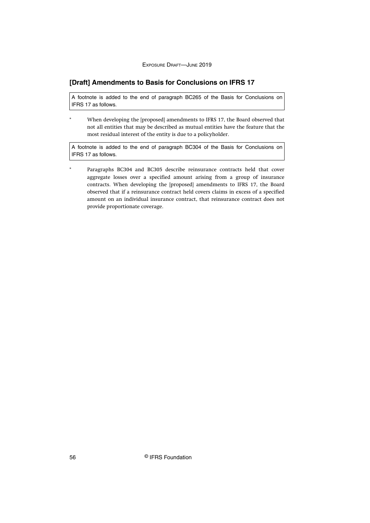## <span id="page-56-0"></span>**[Draft] Amendments to Basis for Conclusions on IFRS 17**

A footnote is added to the end of paragraph BC265 of the Basis for Conclusions on IFRS 17 as follows.

When developing the [proposed] amendments to IFRS 17, the Board observed that not all entities that may be described as mutual entities have the feature that the most residual interest of the entity is due to a policyholder.

A footnote is added to the end of paragraph BC304 of the Basis for Conclusions on IFRS 17 as follows.

Paragraphs BC304 and BC305 describe reinsurance contracts held that cover aggregate losses over a specified amount arising from a group of insurance contracts. When developing the [proposed] amendments to IFRS 17, the Board observed that if a reinsurance contract held covers claims in excess of a specified amount on an individual insurance contract, that reinsurance contract does not provide proportionate coverage.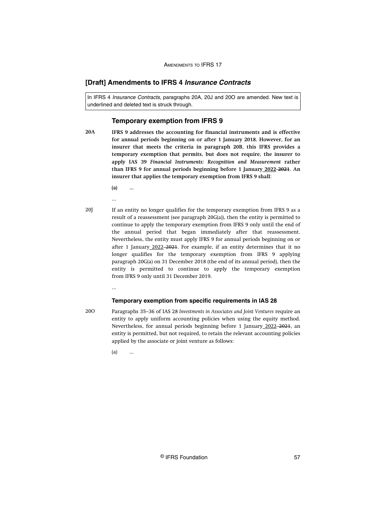## <span id="page-57-0"></span>**[Draft] Amendments to IFRS 4 Insurance Contracts**

In IFRS 4 Insurance Contracts, paragraphs 20A, 20J and 20O are amended. New text is underlined and deleted text is struck through.

## **Temporary exemption from IFRS 9**

- **IFRS 9 addresses the accounting for financial instruments and is effective for annual periods beginning on or after 1 January 2018. However, for an insurer that meets the criteria in paragraph 20B, this IFRS provides a temporary exemption that permits, but does not require, the insurer to apply IAS 39** *Financial Instruments: Recognition and Measurement* **rather than IFRS 9 for annual periods beginning before 1 January 2022 2021. An insurer that applies the temporary exemption from IFRS 9 shall: 20A**
	- **(a) ...**
	- ...

...

If an entity no longer qualifies for the temporary exemption from IFRS 9 as a result of a reassessment (see paragraph 20G(a)), then the entity is permitted to continue to apply the temporary exemption from IFRS 9 only until the end of the annual period that began immediately after that reassessment. Nevertheless, the entity must apply IFRS 9 for annual periods beginning on or after 1 January 2022-2021. For example, if an entity determines that it no longer qualifies for the temporary exemption from IFRS 9 applying paragraph 20G(a) on 31 December 2018 (the end of its annual period), then the entity is permitted to continue to apply the temporary exemption from IFRS 9 only until 31 December 2019. 20J

#### **Temporary exemption from specific requirements in IAS 28**

20O

Paragraphs 35–36 of IAS 28 *Investments in Associates and Joint Ventures* require an entity to apply uniform accounting policies when using the equity method. Nevertheless, for annual periods beginning before 1 January 2022 2021, an entity is permitted, but not required, to retain the relevant accounting policies applied by the associate or joint venture as follows:

 $(a)$  ...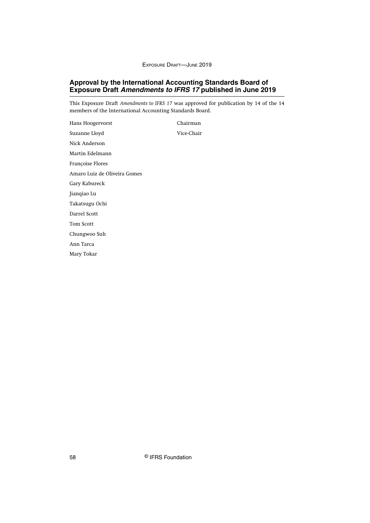## <span id="page-58-0"></span>**Approval by the International Accounting Standards Board of Exposure Draft Amendments to IFRS 17 published in June 2019**

This Exposure Draft *Amendments to IFRS 17* was approved for publication by 14 of the 14 members of the International Accounting Standards Board.

Hans Hoogervorst Chairman Suzanne Lloyd Vice-Chair Nick Anderson Martin Edelmann Françoise Flores Amaro Luiz de Oliveira Gomes Gary Kabureck Jianqiao Lu Takatsugu Ochi Darrel Scott Tom Scott Chungwoo Suh Ann Tarca Mary Tokar